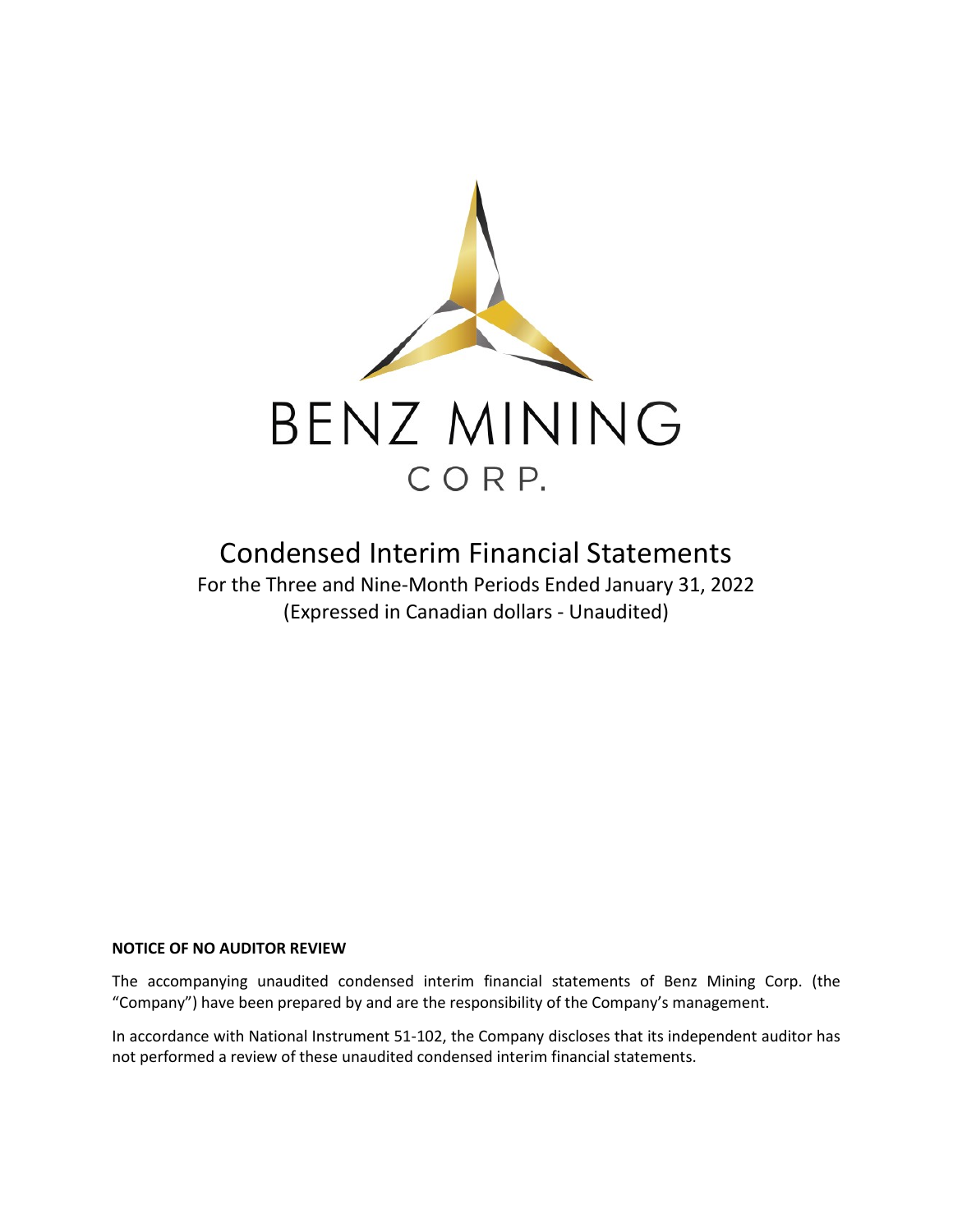

# Condensed Interim Financial Statements

For the Three and Nine-Month Periods Ended January 31, 2022 (Expressed in Canadian dollars - Unaudited)

# **NOTICE OF NO AUDITOR REVIEW**

The accompanying unaudited condensed interim financial statements of Benz Mining Corp. (the "Company") have been prepared by and are the responsibility of the Company's management.

In accordance with National Instrument 51-102, the Company discloses that its independent auditor has not performed a review of these unaudited condensed interim financial statements.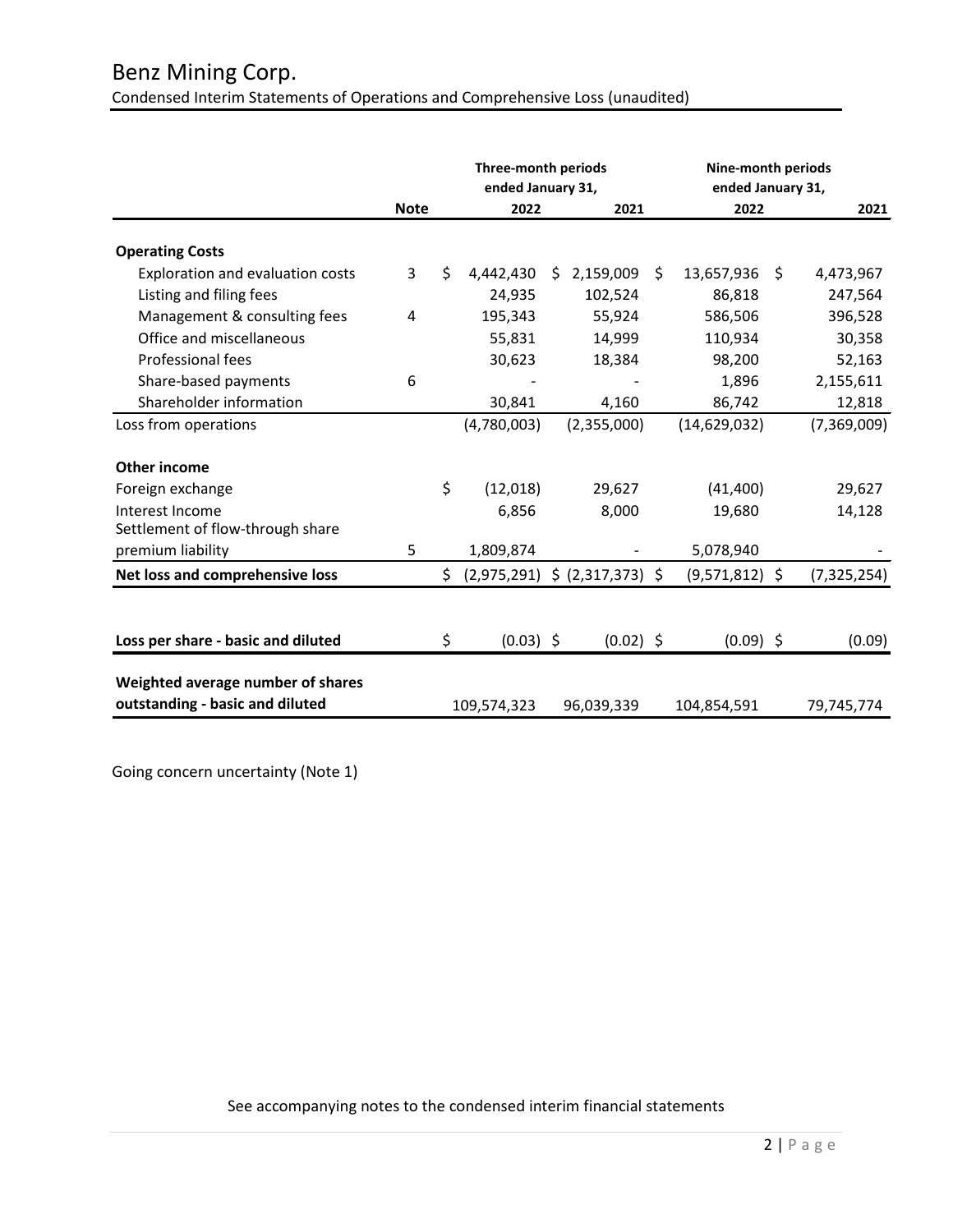|                                                                      |             |     | Three-month periods<br>ended January 31, |    |                                   |    | Nine-month periods<br>ended January 31, |    |               |  |
|----------------------------------------------------------------------|-------------|-----|------------------------------------------|----|-----------------------------------|----|-----------------------------------------|----|---------------|--|
|                                                                      | <b>Note</b> |     | 2022                                     |    | 2021                              |    | 2022                                    |    | 2021          |  |
| <b>Operating Costs</b>                                               |             |     |                                          |    |                                   |    |                                         |    |               |  |
| <b>Exploration and evaluation costs</b>                              | 3           | \$  | 4,442,430                                | Ŝ. | 2,159,009                         | Ŝ. | 13,657,936                              | S. | 4,473,967     |  |
| Listing and filing fees                                              |             |     | 24,935                                   |    | 102,524                           |    | 86,818                                  |    | 247,564       |  |
| Management & consulting fees                                         | 4           |     | 195,343                                  |    | 55,924                            |    | 586,506                                 |    | 396,528       |  |
| Office and miscellaneous                                             |             |     | 55,831                                   |    | 14,999                            |    | 110,934                                 |    | 30,358        |  |
| Professional fees                                                    |             |     | 30,623                                   |    | 18,384                            |    | 98,200                                  |    | 52,163        |  |
| Share-based payments                                                 | 6           |     |                                          |    |                                   |    | 1,896                                   |    | 2,155,611     |  |
| Shareholder information                                              |             |     | 30,841                                   |    | 4,160                             |    | 86,742                                  |    | 12,818        |  |
| Loss from operations                                                 |             |     | (4,780,003)                              |    | (2,355,000)                       |    | (14, 629, 032)                          |    | (7,369,009)   |  |
| <b>Other income</b>                                                  |             |     |                                          |    |                                   |    |                                         |    |               |  |
| Foreign exchange                                                     |             | \$  | (12,018)                                 |    | 29,627                            |    | (41, 400)                               |    | 29,627        |  |
| Interest Income<br>Settlement of flow-through share                  |             |     | 6,856                                    |    | 8,000                             |    | 19,680                                  |    | 14,128        |  |
| premium liability                                                    | 5           |     | 1,809,874                                |    |                                   |    | 5,078,940                               |    |               |  |
| Net loss and comprehensive loss                                      |             | \$. |                                          |    | $(2,975,291)$ \$ $(2,317,373)$ \$ |    | $(9,571,812)$ \$                        |    | (7, 325, 254) |  |
|                                                                      |             |     |                                          |    |                                   |    |                                         |    |               |  |
| Loss per share - basic and diluted                                   |             | \$  | $(0.03)$ \$                              |    | $(0.02)$ \$                       |    | $(0.09)$ \$                             |    | (0.09)        |  |
| Weighted average number of shares<br>outstanding - basic and diluted |             |     | 109,574,323                              |    | 96,039,339                        |    | 104,854,591                             |    | 79,745,774    |  |

Going concern uncertainty (Note 1)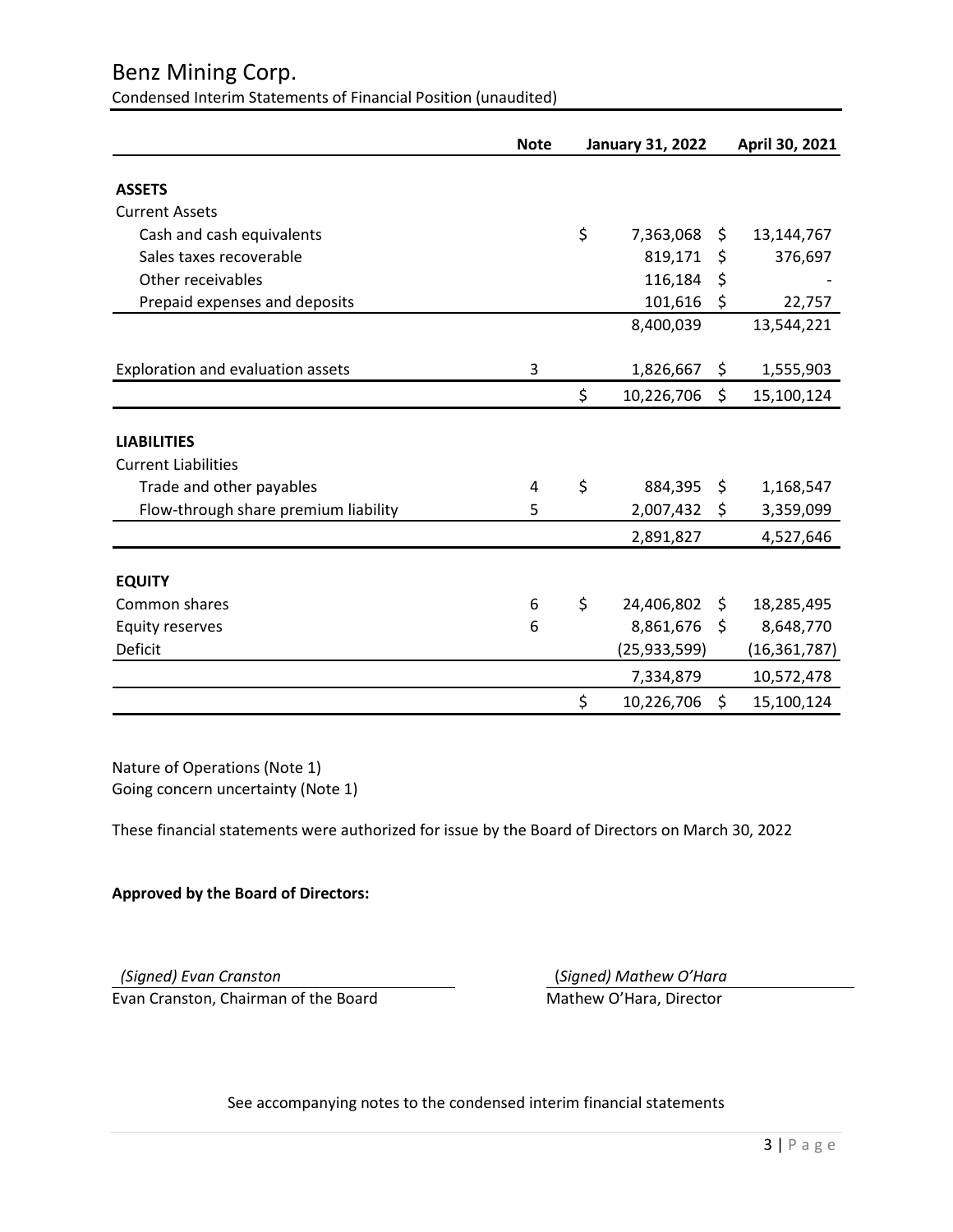# Benz Mining Corp.

Condensed Interim Statements of Financial Position (unaudited)

|                                      | <b>Note</b> | <b>January 31, 2022</b> |     | April 30, 2021 |
|--------------------------------------|-------------|-------------------------|-----|----------------|
| <b>ASSETS</b>                        |             |                         |     |                |
| <b>Current Assets</b>                |             |                         |     |                |
| Cash and cash equivalents            |             | \$<br>7,363,068         | \$  | 13,144,767     |
| Sales taxes recoverable              |             | 819,171                 | \$  | 376,697        |
| Other receivables                    |             | 116,184                 | \$  |                |
| Prepaid expenses and deposits        |             | 101,616                 | \$  | 22,757         |
|                                      |             | 8,400,039               |     | 13,544,221     |
| Exploration and evaluation assets    | 3           | 1,826,667               | \$  | 1,555,903      |
|                                      |             | \$<br>10,226,706        | \$  | 15,100,124     |
| <b>LIABILITIES</b>                   |             |                         |     |                |
| <b>Current Liabilities</b>           |             |                         |     |                |
| Trade and other payables             | 4           | \$<br>884,395           | \$  | 1,168,547      |
| Flow-through share premium liability | 5           | 2,007,432               | \$  | 3,359,099      |
|                                      |             | 2,891,827               |     | 4,527,646      |
| <b>EQUITY</b>                        |             |                         |     |                |
| Common shares                        | 6           | \$<br>24,406,802        | \$. | 18,285,495     |
| <b>Equity reserves</b>               | 6           | 8,861,676               | \$  | 8,648,770      |
| Deficit                              |             | (25, 933, 599)          |     | (16, 361, 787) |
|                                      |             | 7,334,879               |     | 10,572,478     |
|                                      |             | \$<br>10,226,706        | \$  | 15,100,124     |

Nature of Operations (Note 1) Going concern uncertainty (Note 1)

These financial statements were authorized for issue by the Board of Directors on March 30, 2022

# **Approved by the Board of Directors:**

*(Signed) Evan Cranston* (*Signed) Mathew O'Hara* Evan Cranston, Chairman of the Board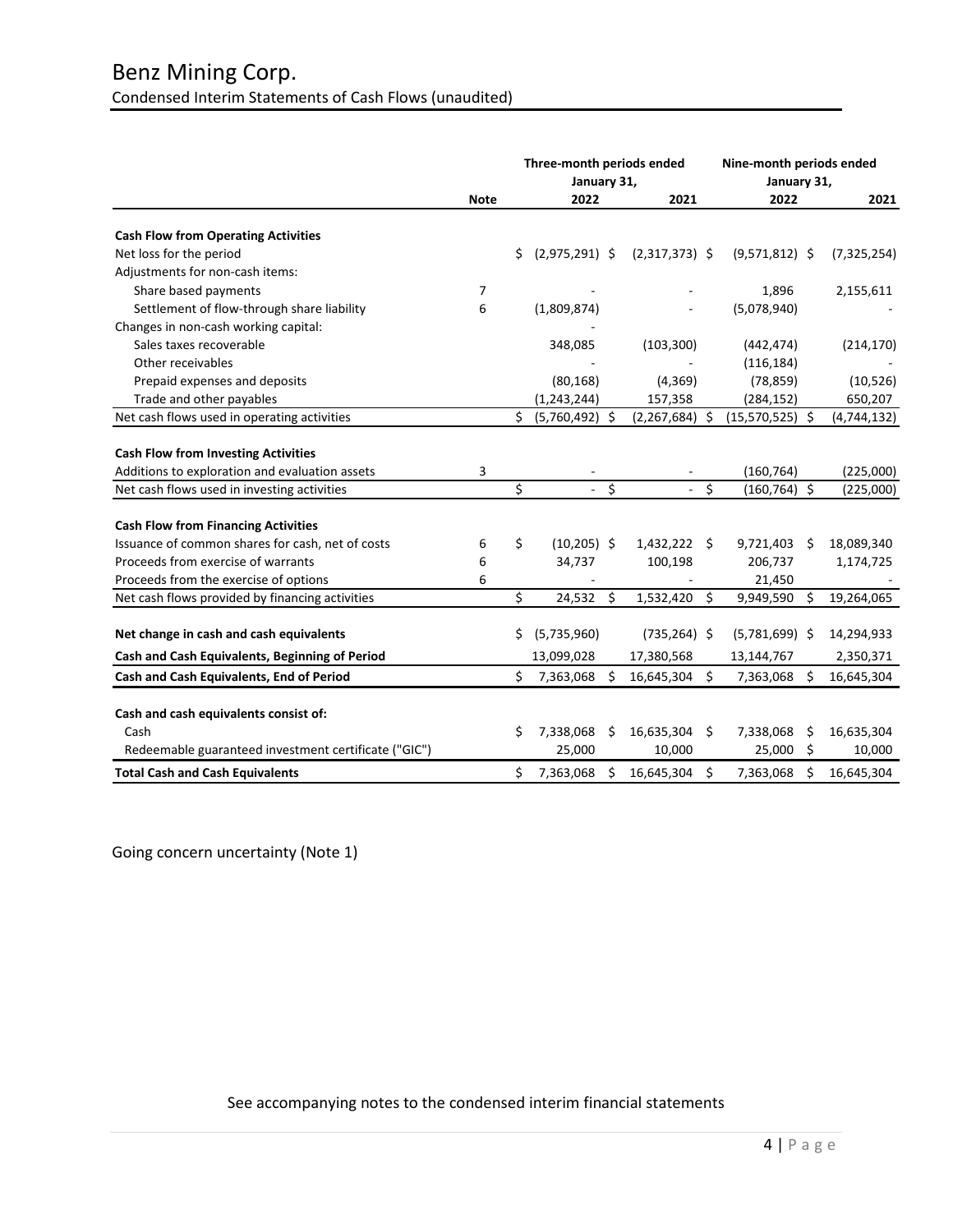|                                                                                              |                |    | Three-month periods ended<br>January 31, |     |                  | Nine-month periods ended<br>January 31, |                   |      |               |
|----------------------------------------------------------------------------------------------|----------------|----|------------------------------------------|-----|------------------|-----------------------------------------|-------------------|------|---------------|
|                                                                                              | <b>Note</b>    |    | 2022                                     |     | 2021             |                                         | 2022              |      | 2021          |
| <b>Cash Flow from Operating Activities</b>                                                   |                |    |                                          |     |                  |                                         |                   |      |               |
| Net loss for the period                                                                      |                | Ś. | $(2,975,291)$ \$                         |     | $(2,317,373)$ \$ |                                         | $(9,571,812)$ \$  |      | (7, 325, 254) |
| Adjustments for non-cash items:                                                              |                |    |                                          |     |                  |                                         |                   |      |               |
| Share based payments                                                                         | $\overline{7}$ |    |                                          |     |                  |                                         | 1,896             |      | 2,155,611     |
| Settlement of flow-through share liability                                                   | 6              |    | (1,809,874)                              |     |                  |                                         | (5,078,940)       |      |               |
| Changes in non-cash working capital:                                                         |                |    |                                          |     |                  |                                         |                   |      |               |
| Sales taxes recoverable                                                                      |                |    | 348,085                                  |     | (103, 300)       |                                         | (442, 474)        |      | (214, 170)    |
| Other receivables                                                                            |                |    |                                          |     |                  |                                         | (116, 184)        |      |               |
| Prepaid expenses and deposits                                                                |                |    | (80, 168)                                |     | (4, 369)         |                                         | (78, 859)         |      | (10, 526)     |
| Trade and other payables                                                                     |                |    | (1, 243, 244)                            |     | 157,358          |                                         | (284, 152)        |      | 650,207       |
| Net cash flows used in operating activities                                                  |                | Ś. | $(5,760,492)$ \$                         |     | $(2,267,684)$ \$ |                                         | $(15,570,525)$ \$ |      | (4, 744, 132) |
| <b>Cash Flow from Investing Activities</b><br>Additions to exploration and evaluation assets | 3              |    |                                          |     |                  |                                         | (160, 764)        |      | (225,000)     |
| Net cash flows used in investing activities                                                  |                | \$ | $\sim$                                   | \$  |                  | \$                                      | $(160, 764)$ \$   |      | (225,000)     |
| <b>Cash Flow from Financing Activities</b>                                                   |                |    |                                          |     |                  |                                         |                   |      |               |
| Issuance of common shares for cash, net of costs                                             | 6              | Ś. | $(10, 205)$ \$                           |     | 1,432,222 \$     |                                         | 9,721,403         | - Ś  | 18,089,340    |
| Proceeds from exercise of warrants                                                           | 6              |    | 34,737                                   |     | 100,198          |                                         | 206,737           |      | 1,174,725     |
| Proceeds from the exercise of options                                                        | 6              |    |                                          |     |                  |                                         | 21,450            |      |               |
| Net cash flows provided by financing activities                                              |                | \$ | 24,532 \$                                |     | 1,532,420        | \$                                      | 9,949,590         | - \$ | 19,264,065    |
| Net change in cash and cash equivalents                                                      |                | S  | (5,735,960)                              |     | $(735, 264)$ \$  |                                         | $(5,781,699)$ \$  |      | 14,294,933    |
| Cash and Cash Equivalents, Beginning of Period                                               |                |    | 13,099,028                               |     | 17,380,568       |                                         | 13,144,767        |      | 2,350,371     |
| Cash and Cash Equivalents, End of Period                                                     |                | \$ | 7,363,068                                | -\$ | 16,645,304 \$    |                                         | 7,363,068         | -\$  | 16,645,304    |
|                                                                                              |                |    |                                          |     |                  |                                         |                   |      |               |
| Cash and cash equivalents consist of:                                                        |                |    |                                          |     |                  |                                         |                   |      |               |
| Cash                                                                                         |                | Ś  | 7,338,068                                | \$  | 16,635,304 \$    |                                         | 7,338,068         | \$   | 16,635,304    |
| Redeemable guaranteed investment certificate ("GIC")                                         |                |    | 25,000                                   |     | 10,000           |                                         | 25,000            | -\$  | 10,000        |
| <b>Total Cash and Cash Equivalents</b>                                                       |                | \$ | 7,363,068                                | Ś   | 16,645,304       | Ŝ.                                      | 7,363,068         | Ś.   | 16,645,304    |

Going concern uncertainty (Note 1)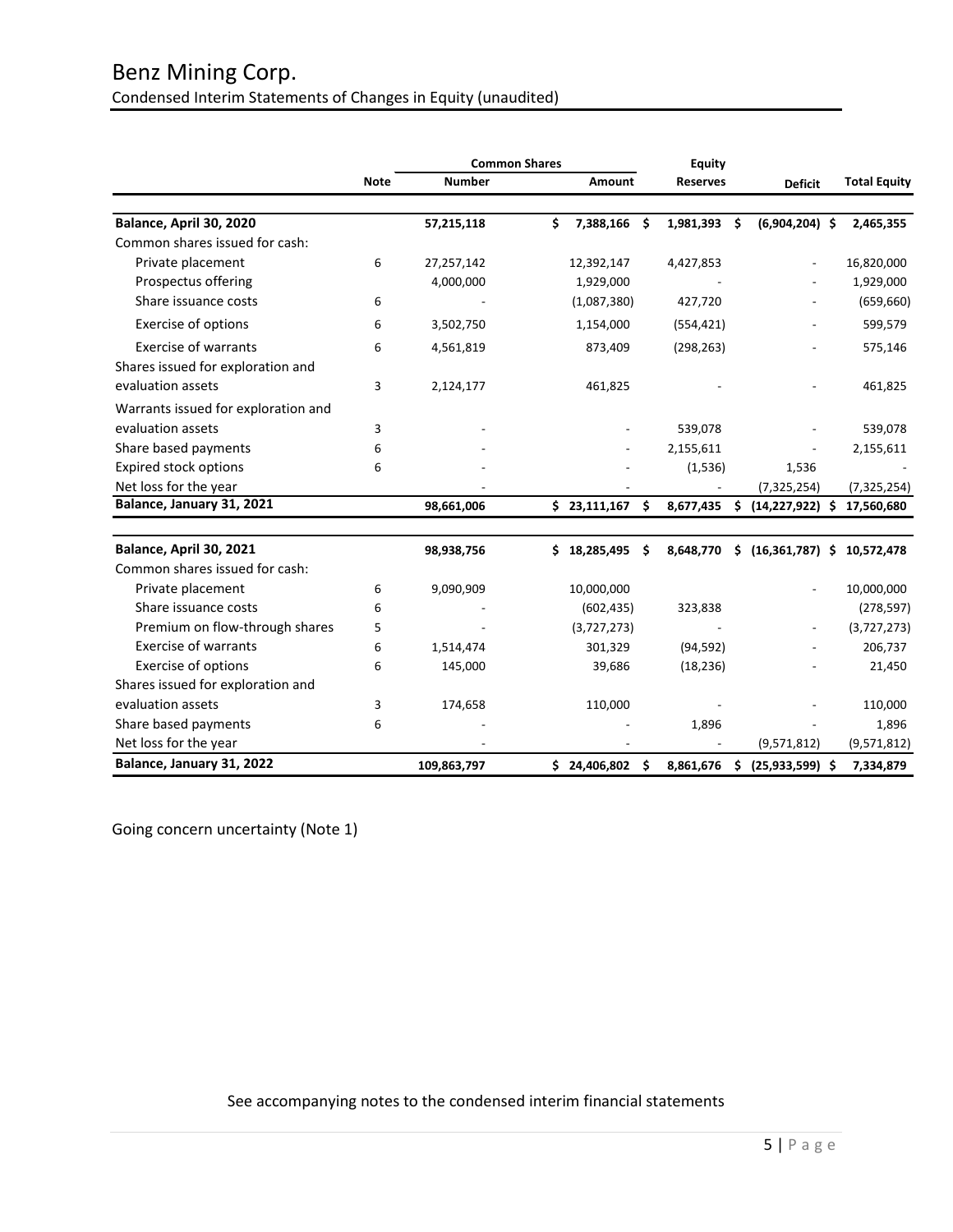# Benz Mining Corp. Condensed Interim Statements of Changes in Equity (unaudited)

|                                     |             |               | <b>Common Shares</b> |                  |      | <b>Equity</b>   |     |                              |                     |
|-------------------------------------|-------------|---------------|----------------------|------------------|------|-----------------|-----|------------------------------|---------------------|
|                                     | <b>Note</b> | <b>Number</b> |                      | <b>Amount</b>    |      | <b>Reserves</b> |     | <b>Deficit</b>               | <b>Total Equity</b> |
| Balance, April 30, 2020             |             | 57,215,118    | \$                   | 7,388,166        | - \$ | 1,981,393       | \$. | $(6,904,204)$ \$             | 2,465,355           |
| Common shares issued for cash:      |             |               |                      |                  |      |                 |     |                              |                     |
| Private placement                   | 6           | 27,257,142    |                      | 12,392,147       |      | 4,427,853       |     |                              | 16,820,000          |
| Prospectus offering                 |             | 4,000,000     |                      | 1,929,000        |      |                 |     |                              | 1,929,000           |
| Share issuance costs                | 6           |               |                      | (1,087,380)      |      | 427,720         |     |                              | (659, 660)          |
| Exercise of options                 | 6           | 3,502,750     |                      | 1,154,000        |      | (554, 421)      |     | $\overline{\phantom{a}}$     | 599,579             |
| <b>Exercise of warrants</b>         | 6           | 4,561,819     |                      | 873,409          |      | (298, 263)      |     |                              | 575,146             |
| Shares issued for exploration and   |             |               |                      |                  |      |                 |     |                              |                     |
| evaluation assets                   | 3           | 2,124,177     |                      | 461,825          |      |                 |     |                              | 461,825             |
| Warrants issued for exploration and |             |               |                      |                  |      |                 |     |                              |                     |
| evaluation assets                   | 3           |               |                      |                  |      | 539,078         |     |                              | 539,078             |
| Share based payments                | 6           |               |                      |                  |      | 2,155,611       |     |                              | 2,155,611           |
| <b>Expired stock options</b>        | 6           |               |                      |                  |      | (1, 536)        |     | 1,536                        |                     |
| Net loss for the year               |             |               |                      |                  |      |                 |     | (7, 325, 254)                | (7, 325, 254)       |
| Balance, January 31, 2021           |             | 98,661,006    |                      | $$23,111,167$ \$ |      | 8,677,435       | \$  | $(14, 227, 922)$ \$          | 17,560,680          |
| Balance, April 30, 2021             |             | 98,938,756    | \$                   | 18,285,495       | - \$ | 8,648,770       | Ś.  | $(16,361,787)$ \$ 10,572,478 |                     |
| Common shares issued for cash:      |             |               |                      |                  |      |                 |     |                              |                     |
| Private placement                   | 6           | 9,090,909     |                      | 10,000,000       |      |                 |     |                              | 10,000,000          |
| Share issuance costs                | 6           |               |                      | (602, 435)       |      | 323,838         |     |                              | (278, 597)          |
| Premium on flow-through shares      | 5           |               |                      | (3,727,273)      |      |                 |     |                              | (3,727,273)         |
| <b>Exercise of warrants</b>         | 6           | 1,514,474     |                      | 301,329          |      | (94, 592)       |     |                              | 206,737             |
| Exercise of options                 | 6           | 145,000       |                      | 39,686           |      | (18, 236)       |     |                              | 21,450              |
| Shares issued for exploration and   |             |               |                      |                  |      |                 |     |                              |                     |
| evaluation assets                   | 3           | 174,658       |                      | 110,000          |      |                 |     |                              | 110,000             |
| Share based payments                | 6           |               |                      |                  |      | 1,896           |     |                              | 1,896               |
| Net loss for the year               |             |               |                      |                  |      |                 |     | (9,571,812)                  | (9,571,812)         |
| Balance, January 31, 2022           |             | 109,863,797   |                      | \$24,406,802\$   |      | 8,861,676       | \$  | $(25,933,599)$ \$            | 7,334,879           |

Going concern uncertainty (Note 1)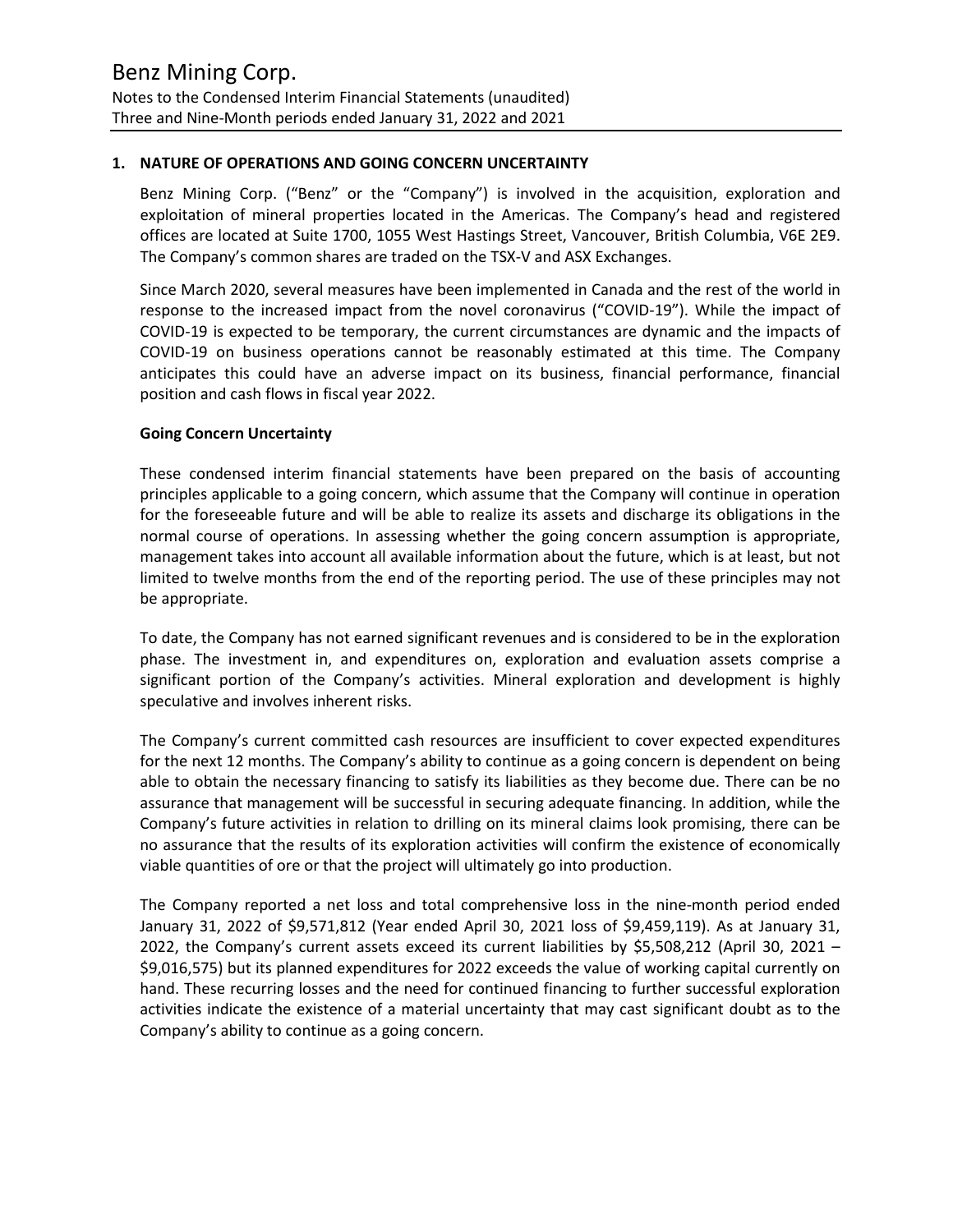# **1. NATURE OF OPERATIONS AND GOING CONCERN UNCERTAINTY**

Benz Mining Corp. ("Benz" or the "Company") is involved in the acquisition, exploration and exploitation of mineral properties located in the Americas. The Company's head and registered offices are located at Suite 1700, 1055 West Hastings Street, Vancouver, British Columbia, V6E 2E9. The Company's common shares are traded on the TSX-V and ASX Exchanges.

Since March 2020, several measures have been implemented in Canada and the rest of the world in response to the increased impact from the novel coronavirus ("COVID-19"). While the impact of COVID-19 is expected to be temporary, the current circumstances are dynamic and the impacts of COVID-19 on business operations cannot be reasonably estimated at this time. The Company anticipates this could have an adverse impact on its business, financial performance, financial position and cash flows in fiscal year 2022.

#### **Going Concern Uncertainty**

These condensed interim financial statements have been prepared on the basis of accounting principles applicable to a going concern, which assume that the Company will continue in operation for the foreseeable future and will be able to realize its assets and discharge its obligations in the normal course of operations. In assessing whether the going concern assumption is appropriate, management takes into account all available information about the future, which is at least, but not limited to twelve months from the end of the reporting period. The use of these principles may not be appropriate.

To date, the Company has not earned significant revenues and is considered to be in the exploration phase. The investment in, and expenditures on, exploration and evaluation assets comprise a significant portion of the Company's activities. Mineral exploration and development is highly speculative and involves inherent risks.

The Company's current committed cash resources are insufficient to cover expected expenditures for the next 12 months. The Company's ability to continue as a going concern is dependent on being able to obtain the necessary financing to satisfy its liabilities as they become due. There can be no assurance that management will be successful in securing adequate financing. In addition, while the Company's future activities in relation to drilling on its mineral claims look promising, there can be no assurance that the results of its exploration activities will confirm the existence of economically viable quantities of ore or that the project will ultimately go into production.

The Company reported a net loss and total comprehensive loss in the nine-month period ended January 31, 2022 of \$9,571,812 (Year ended April 30, 2021 loss of \$9,459,119). As at January 31, 2022, the Company's current assets exceed its current liabilities by \$5,508,212 (April 30, 2021 – \$9,016,575) but its planned expenditures for 2022 exceeds the value of working capital currently on hand. These recurring losses and the need for continued financing to further successful exploration activities indicate the existence of a material uncertainty that may cast significant doubt as to the Company's ability to continue as a going concern.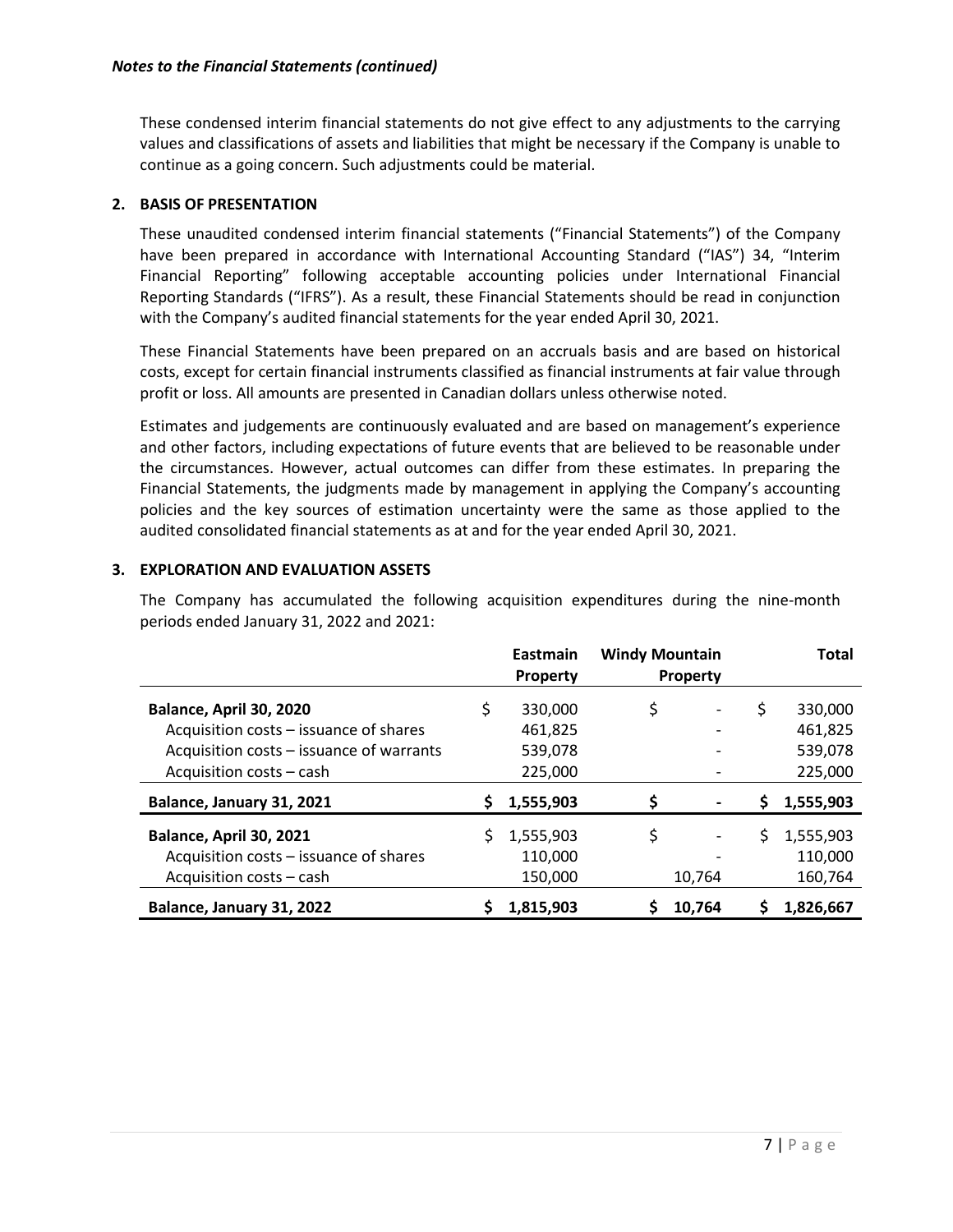These condensed interim financial statements do not give effect to any adjustments to the carrying values and classifications of assets and liabilities that might be necessary if the Company is unable to continue as a going concern. Such adjustments could be material.

# **2. BASIS OF PRESENTATION**

These unaudited condensed interim financial statements ("Financial Statements") of the Company have been prepared in accordance with International Accounting Standard ("IAS") 34, "Interim Financial Reporting" following acceptable accounting policies under International Financial Reporting Standards ("IFRS"). As a result, these Financial Statements should be read in conjunction with the Company's audited financial statements for the year ended April 30, 2021.

These Financial Statements have been prepared on an accruals basis and are based on historical costs, except for certain financial instruments classified as financial instruments at fair value through profit or loss. All amounts are presented in Canadian dollars unless otherwise noted.

Estimates and judgements are continuously evaluated and are based on management's experience and other factors, including expectations of future events that are believed to be reasonable under the circumstances. However, actual outcomes can differ from these estimates. In preparing the Financial Statements, the judgments made by management in applying the Company's accounting policies and the key sources of estimation uncertainty were the same as those applied to the audited consolidated financial statements as at and for the year ended April 30, 2021.

# **3. EXPLORATION AND EVALUATION ASSETS**

The Company has accumulated the following acquisition expenditures during the nine-month periods ended January 31, 2022 and 2021:

|                                          |    | <b>Eastmain</b> | <b>Windy Mountain</b> |                 |    | Total     |
|------------------------------------------|----|-----------------|-----------------------|-----------------|----|-----------|
|                                          |    | <b>Property</b> |                       | <b>Property</b> |    |           |
| Balance, April 30, 2020                  | \$ | 330,000         | \$                    |                 | \$ | 330,000   |
| Acquisition costs - issuance of shares   |    | 461,825         |                       |                 |    | 461,825   |
| Acquisition costs - issuance of warrants |    | 539,078         |                       |                 |    | 539,078   |
| Acquisition costs - cash                 |    | 225,000         |                       |                 |    | 225,000   |
| Balance, January 31, 2021                | Ş. | 1,555,903       | \$                    |                 | \$ | 1,555,903 |
| Balance, April 30, 2021                  |    | 1,555,903       | \$                    |                 | S  | 1,555,903 |
| Acquisition costs - issuance of shares   |    | 110,000         |                       |                 |    | 110,000   |
| Acquisition costs - cash                 |    | 150,000         |                       | 10,764          |    | 160,764   |
| Balance, January 31, 2022                |    | 1.815.903       |                       | 10,764          | S  | 1,826,667 |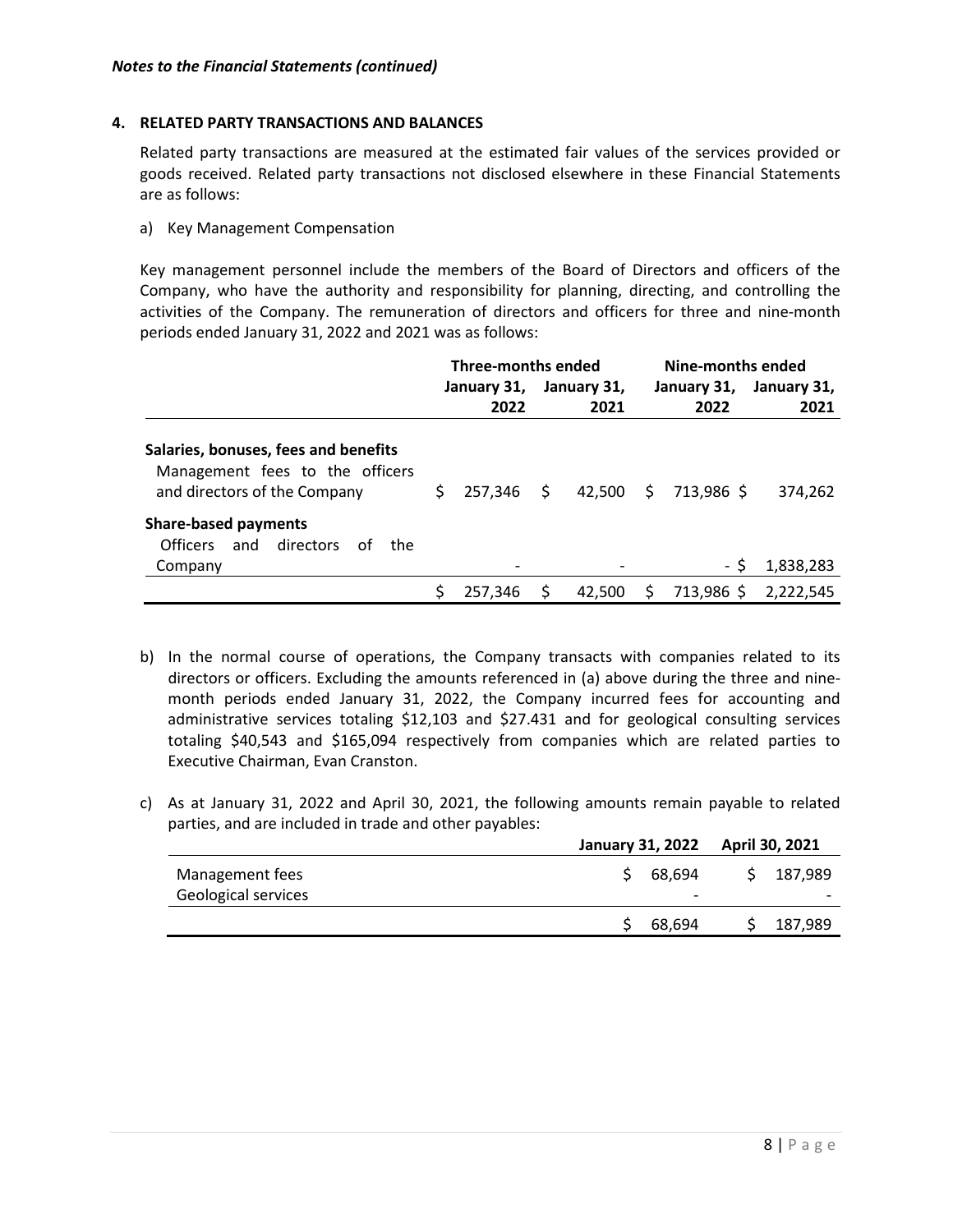#### **4. RELATED PARTY TRANSACTIONS AND BALANCES**

Related party transactions are measured at the estimated fair values of the services provided or goods received. Related party transactions not disclosed elsewhere in these Financial Statements are as follows:

a) Key Management Compensation

Key management personnel include the members of the Board of Directors and officers of the Company, who have the authority and responsibility for planning, directing, and controlling the activities of the Company. The remuneration of directors and officers for three and nine-month periods ended January 31, 2022 and 2021 was as follows:

|                                                                                                         |    | <b>Three-months ended</b> |    |             |     | Nine-months ended |             |
|---------------------------------------------------------------------------------------------------------|----|---------------------------|----|-------------|-----|-------------------|-------------|
|                                                                                                         |    | January 31,               |    | January 31, |     | January 31,       | January 31, |
|                                                                                                         |    | 2022                      |    | 2021        |     | 2022              | 2021        |
| Salaries, bonuses, fees and benefits<br>Management fees to the officers<br>and directors of the Company | S. | 257.346                   | \$ | 42,500      | \$. | 713,986 \$        | 374,262     |
| <b>Share-based payments</b><br>and<br>directors<br>Officers<br>of<br>the                                |    |                           |    |             |     |                   |             |
| Company                                                                                                 |    |                           |    |             |     | - \$              | 1,838,283   |
|                                                                                                         |    | 257.346                   |    | 42,500      | S.  | 713,986 \$        | 2.222.545   |

- b) In the normal course of operations, the Company transacts with companies related to its directors or officers. Excluding the amounts referenced in (a) above during the three and ninemonth periods ended January 31, 2022, the Company incurred fees for accounting and administrative services totaling \$12,103 and \$27.431 and for geological consulting services totaling \$40,543 and \$165,094 respectively from companies which are related parties to Executive Chairman, Evan Cranston.
- c) As at January 31, 2022 and April 30, 2021, the following amounts remain payable to related parties, and are included in trade and other payables:

|                                        |  | January 31, 2022 April 30, 2021    |  |         |
|----------------------------------------|--|------------------------------------|--|---------|
| Management fees<br>Geological services |  | 68.694<br>$\overline{\phantom{0}}$ |  | 187.989 |
|                                        |  |                                    |  |         |
|                                        |  | 68,694                             |  | 187,989 |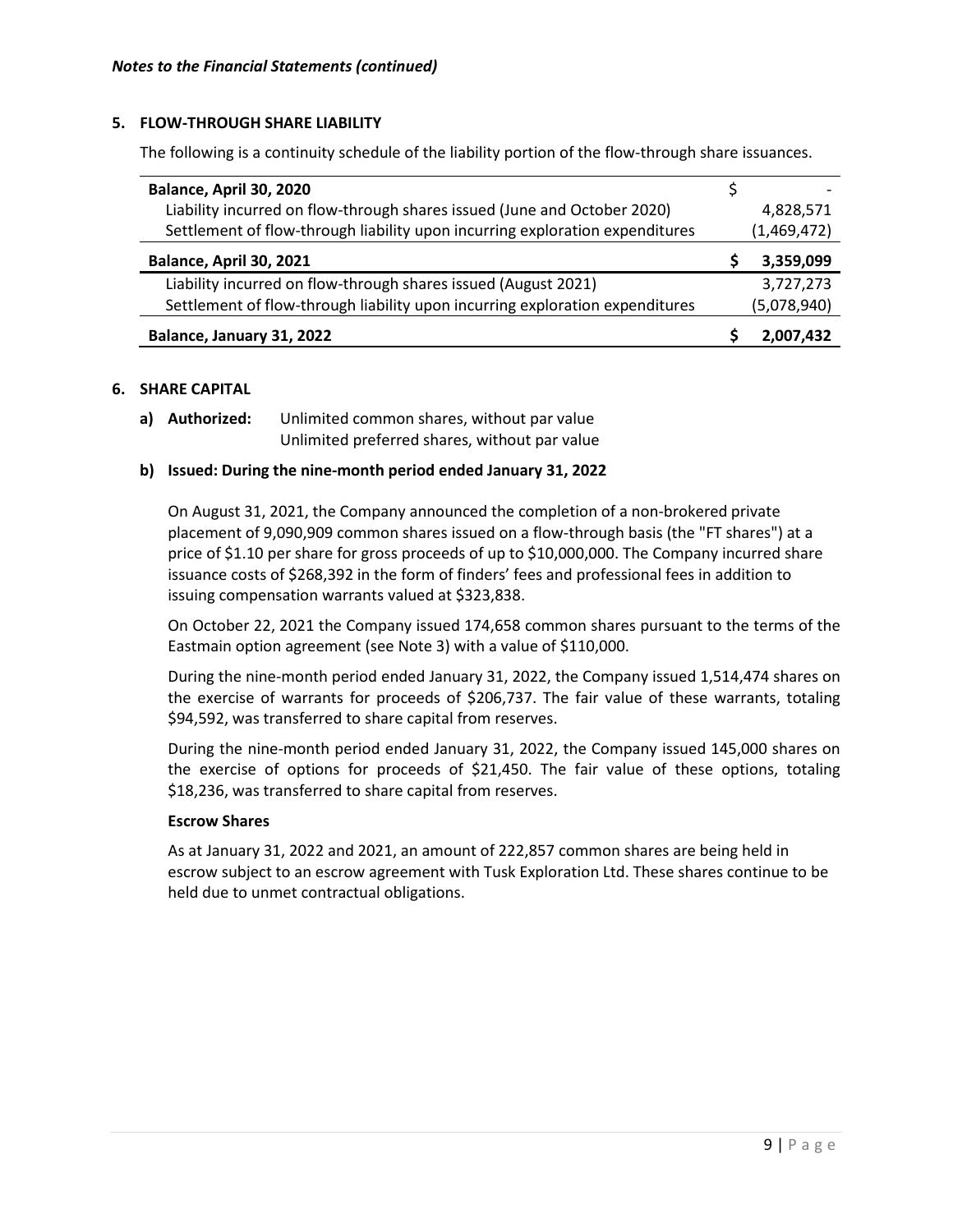# **5. FLOW-THROUGH SHARE LIABILITY**

The following is a continuity schedule of the liability portion of the flow-through share issuances.

| Balance, April 30, 2020                                                      |             |
|------------------------------------------------------------------------------|-------------|
| Liability incurred on flow-through shares issued (June and October 2020)     | 4,828,571   |
| Settlement of flow-through liability upon incurring exploration expenditures | (1,469,472) |
| Balance, April 30, 2021                                                      | 3,359,099   |
| Liability incurred on flow-through shares issued (August 2021)               | 3,727,273   |
| Settlement of flow-through liability upon incurring exploration expenditures | (5,078,940) |
| Balance, January 31, 2022                                                    | 2.007.432   |

#### **6. SHARE CAPITAL**

**a) Authorized:** Unlimited common shares, without par value Unlimited preferred shares, without par value

#### **b) Issued: During the nine-month period ended January 31, 2022**

On August 31, 2021, the Company announced the completion of a non-brokered private placement of 9,090,909 common shares issued on a flow-through basis (the "FT shares") at a price of \$1.10 per share for gross proceeds of up to \$10,000,000. The Company incurred share issuance costs of \$268,392 in the form of finders' fees and professional fees in addition to issuing compensation warrants valued at \$323,838.

On October 22, 2021 the Company issued 174,658 common shares pursuant to the terms of the Eastmain option agreement (see Note 3) with a value of \$110,000.

During the nine-month period ended January 31, 2022, the Company issued 1,514,474 shares on the exercise of warrants for proceeds of \$206,737. The fair value of these warrants, totaling \$94,592, was transferred to share capital from reserves.

During the nine-month period ended January 31, 2022, the Company issued 145,000 shares on the exercise of options for proceeds of \$21,450. The fair value of these options, totaling \$18,236, was transferred to share capital from reserves.

#### **Escrow Shares**

As at January 31, 2022 and 2021, an amount of 222,857 common shares are being held in escrow subject to an escrow agreement with Tusk Exploration Ltd. These shares continue to be held due to unmet contractual obligations.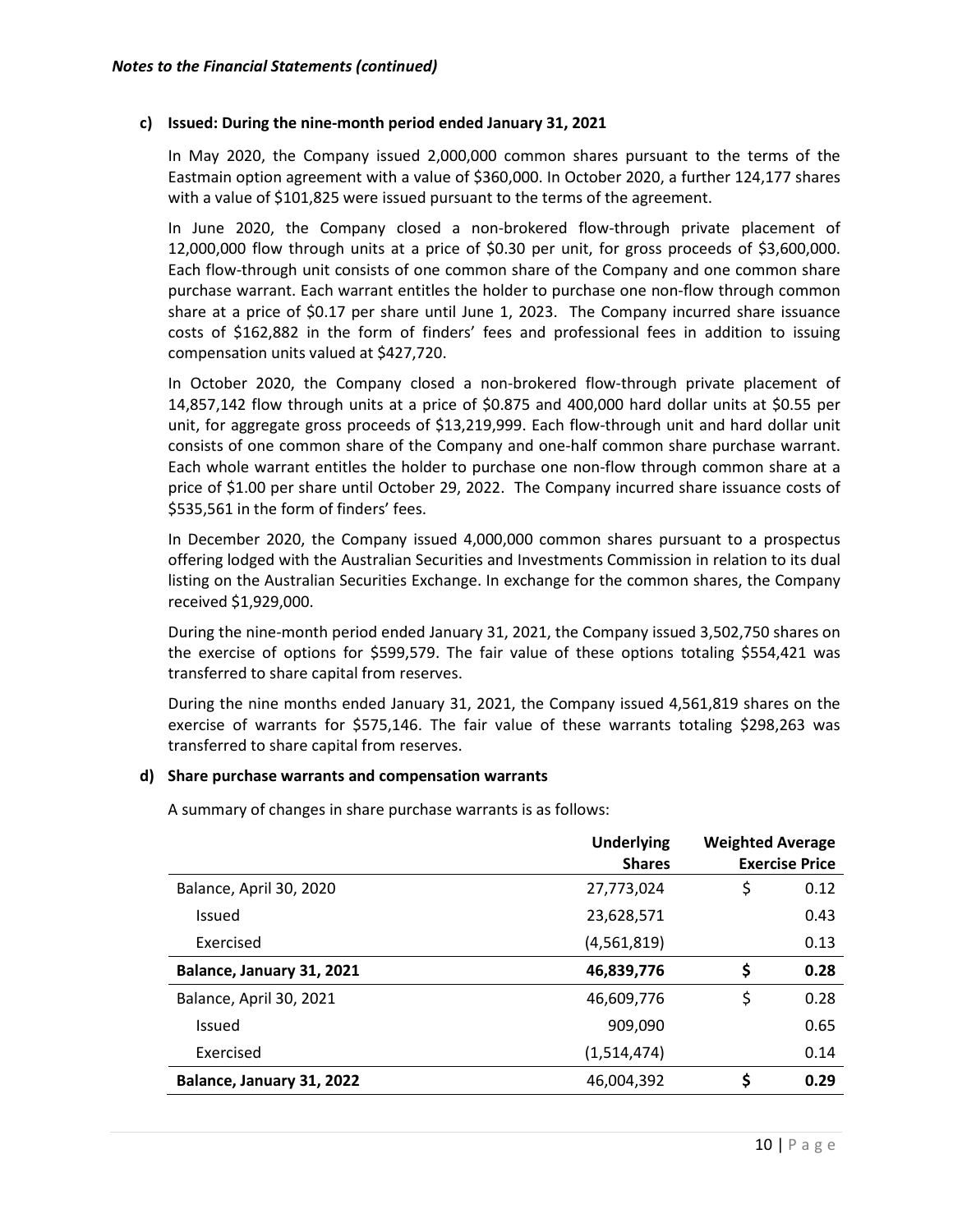#### **c) Issued: During the nine-month period ended January 31, 2021**

In May 2020, the Company issued 2,000,000 common shares pursuant to the terms of the Eastmain option agreement with a value of \$360,000. In October 2020, a further 124,177 shares with a value of \$101,825 were issued pursuant to the terms of the agreement.

In June 2020, the Company closed a non-brokered flow-through private placement of 12,000,000 flow through units at a price of \$0.30 per unit, for gross proceeds of \$3,600,000. Each flow-through unit consists of one common share of the Company and one common share purchase warrant. Each warrant entitles the holder to purchase one non-flow through common share at a price of \$0.17 per share until June 1, 2023. The Company incurred share issuance costs of \$162,882 in the form of finders' fees and professional fees in addition to issuing compensation units valued at \$427,720.

In October 2020, the Company closed a non-brokered flow-through private placement of 14,857,142 flow through units at a price of \$0.875 and 400,000 hard dollar units at \$0.55 per unit, for aggregate gross proceeds of \$13,219,999. Each flow-through unit and hard dollar unit consists of one common share of the Company and one-half common share purchase warrant. Each whole warrant entitles the holder to purchase one non-flow through common share at a price of \$1.00 per share until October 29, 2022. The Company incurred share issuance costs of \$535,561 in the form of finders' fees.

In December 2020, the Company issued 4,000,000 common shares pursuant to a prospectus offering lodged with the Australian Securities and Investments Commission in relation to its dual listing on the Australian Securities Exchange. In exchange for the common shares, the Company received \$1,929,000.

During the nine-month period ended January 31, 2021, the Company issued 3,502,750 shares on the exercise of options for \$599,579. The fair value of these options totaling \$554,421 was transferred to share capital from reserves.

During the nine months ended January 31, 2021, the Company issued 4,561,819 shares on the exercise of warrants for \$575,146. The fair value of these warrants totaling \$298,263 was transferred to share capital from reserves.

#### **d) Share purchase warrants and compensation warrants**

A summary of changes in share purchase warrants is as follows:

|                           | <b>Underlying</b> | <b>Weighted Average</b> |                       |
|---------------------------|-------------------|-------------------------|-----------------------|
|                           | <b>Shares</b>     |                         | <b>Exercise Price</b> |
| Balance, April 30, 2020   | 27,773,024        | \$                      | 0.12                  |
| Issued                    | 23,628,571        |                         | 0.43                  |
| Exercised                 | (4,561,819)       |                         | 0.13                  |
| Balance, January 31, 2021 | 46,839,776        | \$                      | 0.28                  |
| Balance, April 30, 2021   | 46,609,776        | \$                      | 0.28                  |
| Issued                    | 909,090           |                         | 0.65                  |
| Exercised                 | (1,514,474)       |                         | 0.14                  |
| Balance, January 31, 2022 | 46,004,392        | \$                      | 0.29                  |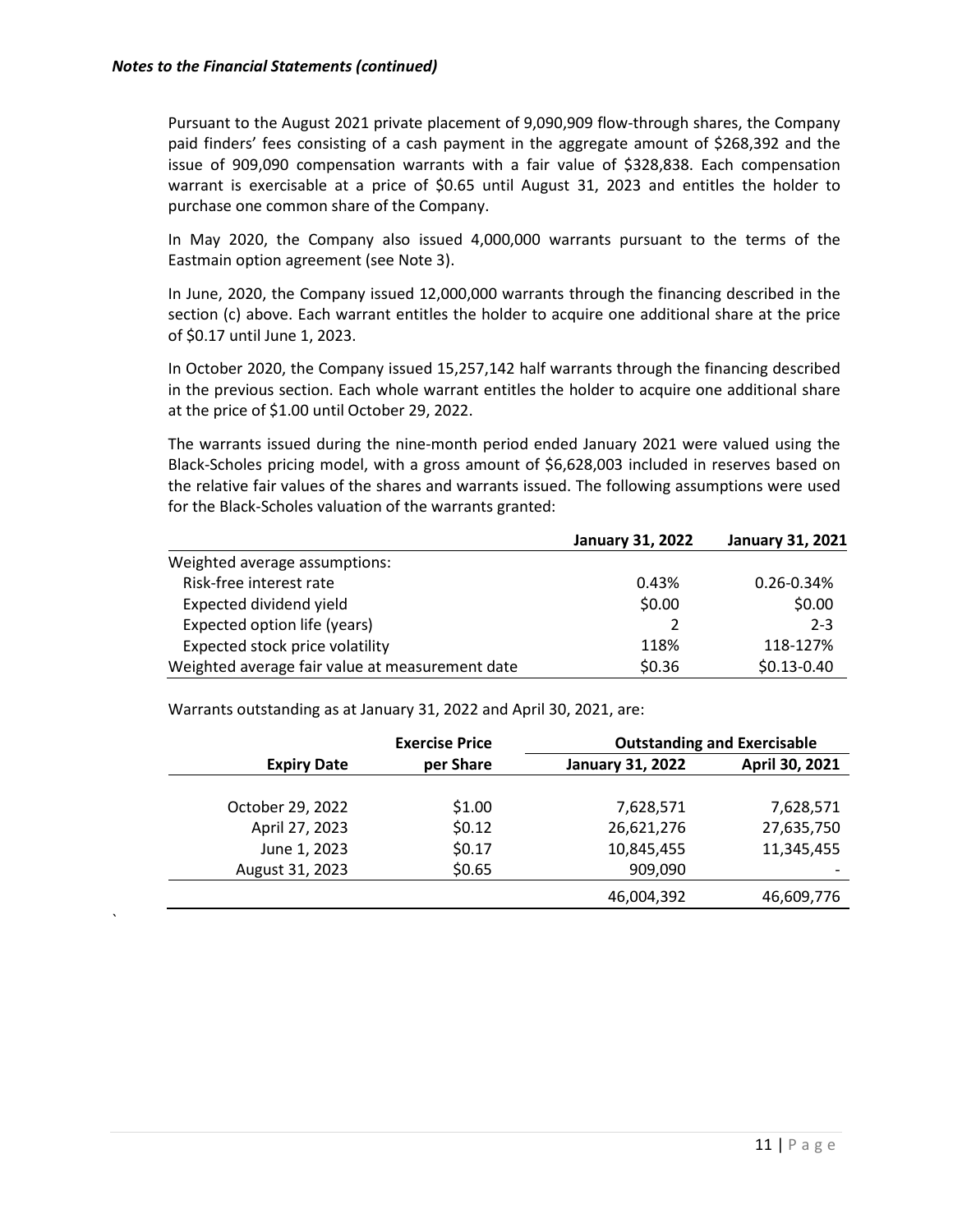`

Pursuant to the August 2021 private placement of 9,090,909 flow-through shares, the Company paid finders' fees consisting of a cash payment in the aggregate amount of \$268,392 and the issue of 909,090 compensation warrants with a fair value of \$328,838. Each compensation warrant is exercisable at a price of \$0.65 until August 31, 2023 and entitles the holder to purchase one common share of the Company.

In May 2020, the Company also issued 4,000,000 warrants pursuant to the terms of the Eastmain option agreement (see Note 3).

In June, 2020, the Company issued 12,000,000 warrants through the financing described in the section (c) above. Each warrant entitles the holder to acquire one additional share at the price of \$0.17 until June 1, 2023.

In October 2020, the Company issued 15,257,142 half warrants through the financing described in the previous section. Each whole warrant entitles the holder to acquire one additional share at the price of \$1.00 until October 29, 2022.

The warrants issued during the nine-month period ended January 2021 were valued using the Black-Scholes pricing model, with a gross amount of \$6,628,003 included in reserves based on the relative fair values of the shares and warrants issued. The following assumptions were used for the Black-Scholes valuation of the warrants granted:

|                                                 | <b>January 31, 2022</b> | <b>January 31, 2021</b> |
|-------------------------------------------------|-------------------------|-------------------------|
| Weighted average assumptions:                   |                         |                         |
| Risk-free interest rate                         | 0.43%                   | $0.26 - 0.34%$          |
| Expected dividend yield                         | \$0.00                  | \$0.00                  |
| Expected option life (years)                    |                         | $2 - 3$                 |
| Expected stock price volatility                 | 118%                    | 118-127%                |
| Weighted average fair value at measurement date | \$0.36                  | $$0.13 - 0.40$          |

Warrants outstanding as at January 31, 2022 and April 30, 2021, are:

|                    | <b>Exercise Price</b> |                         | <b>Outstanding and Exercisable</b> |
|--------------------|-----------------------|-------------------------|------------------------------------|
| <b>Expiry Date</b> | per Share             | <b>January 31, 2022</b> | April 30, 2021                     |
|                    |                       |                         |                                    |
| October 29, 2022   | \$1.00                | 7,628,571               | 7,628,571                          |
| April 27, 2023     | \$0.12                | 26,621,276              | 27,635,750                         |
| June 1, 2023       | \$0.17                | 10,845,455              | 11,345,455                         |
| August 31, 2023    | \$0.65                | 909,090                 |                                    |
|                    |                       | 46,004,392              | 46,609,776                         |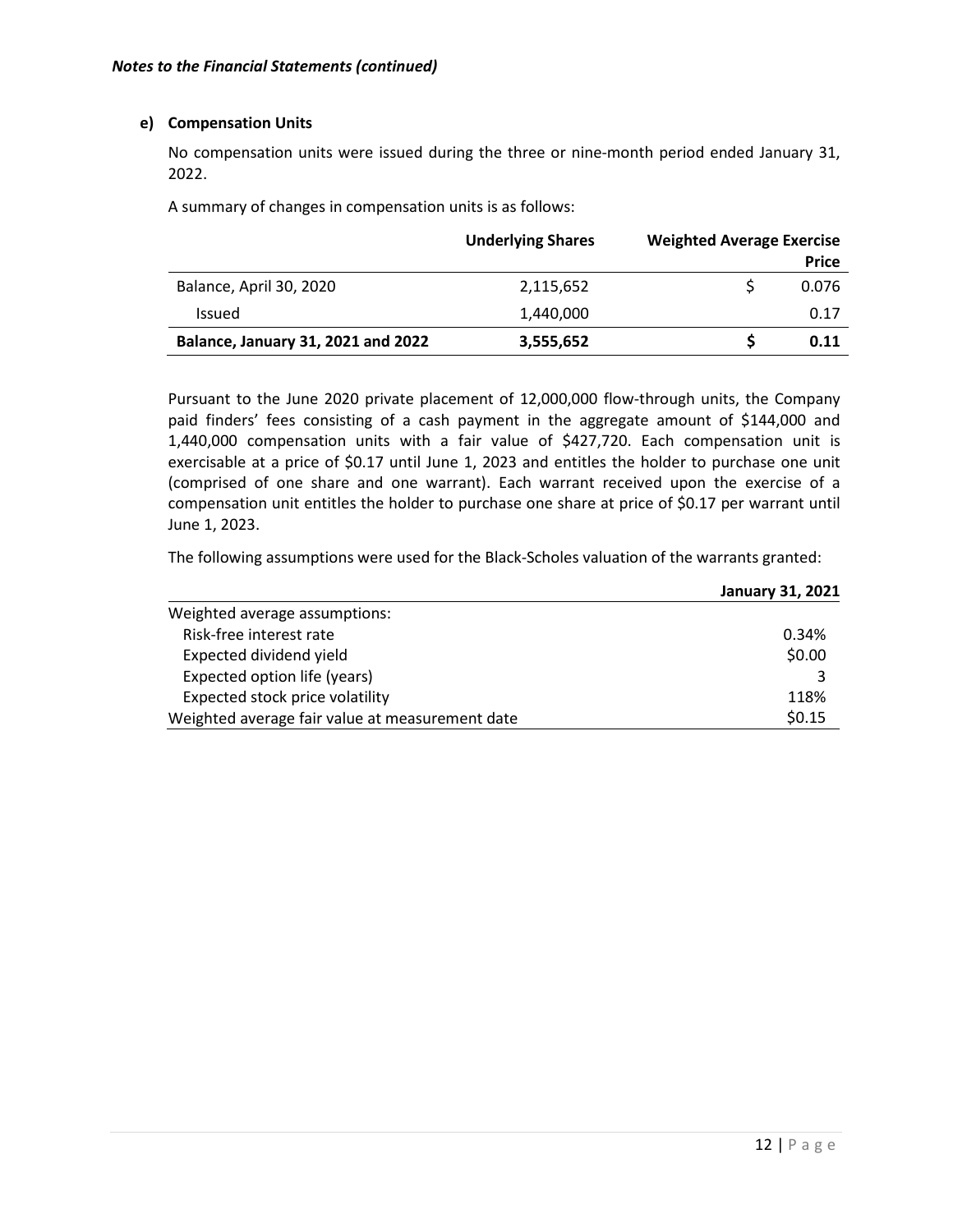### **e) Compensation Units**

No compensation units were issued during the three or nine-month period ended January 31, 2022.

A summary of changes in compensation units is as follows:

|                                    | <b>Underlying Shares</b> | <b>Weighted Average Exercise</b> |
|------------------------------------|--------------------------|----------------------------------|
|                                    |                          | <b>Price</b>                     |
| Balance, April 30, 2020            | 2,115,652                | 0.076                            |
| <b>Issued</b>                      | 1.440.000                | 0.17                             |
| Balance, January 31, 2021 and 2022 | 3,555,652                | 0.11                             |

Pursuant to the June 2020 private placement of 12,000,000 flow-through units, the Company paid finders' fees consisting of a cash payment in the aggregate amount of \$144,000 and 1,440,000 compensation units with a fair value of \$427,720. Each compensation unit is exercisable at a price of \$0.17 until June 1, 2023 and entitles the holder to purchase one unit (comprised of one share and one warrant). Each warrant received upon the exercise of a compensation unit entitles the holder to purchase one share at price of \$0.17 per warrant until June 1, 2023.

The following assumptions were used for the Black-Scholes valuation of the warrants granted:

|                                                 | <b>January 31, 2021</b> |
|-------------------------------------------------|-------------------------|
| Weighted average assumptions:                   |                         |
| Risk-free interest rate                         | 0.34%                   |
| Expected dividend yield                         | \$0.00                  |
| Expected option life (years)                    | 3                       |
| Expected stock price volatility                 | 118%                    |
| Weighted average fair value at measurement date | \$0.15                  |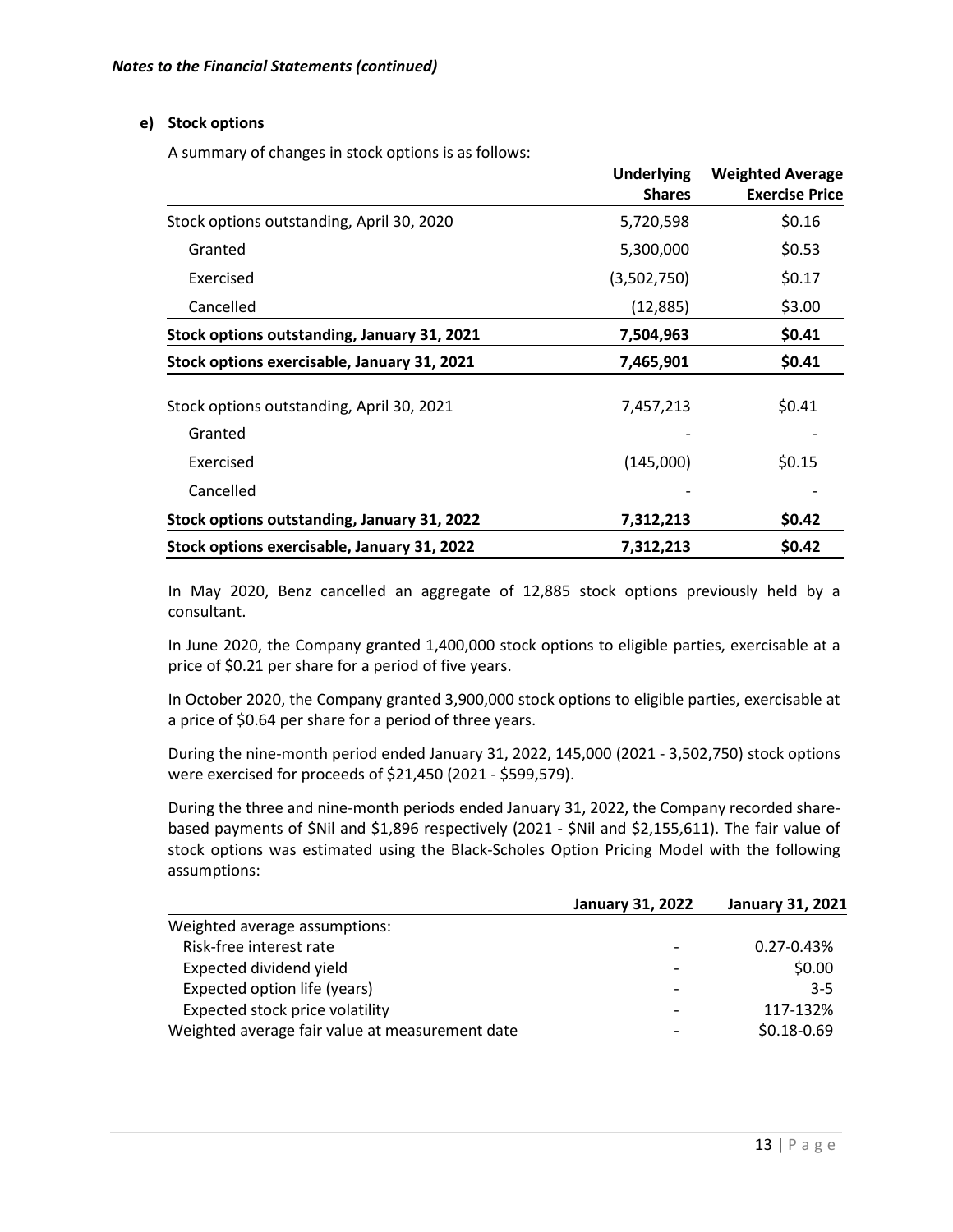# **e) Stock options**

A summary of changes in stock options is as follows:

|                                             | <b>Underlying</b><br><b>Shares</b> | <b>Weighted Average</b><br><b>Exercise Price</b> |
|---------------------------------------------|------------------------------------|--------------------------------------------------|
| Stock options outstanding, April 30, 2020   | 5,720,598                          | \$0.16                                           |
| Granted                                     | 5,300,000                          | \$0.53                                           |
| Exercised                                   | (3,502,750)                        | \$0.17                                           |
| Cancelled                                   | (12, 885)                          | \$3.00                                           |
| Stock options outstanding, January 31, 2021 | 7,504,963                          | \$0.41                                           |
| Stock options exercisable, January 31, 2021 | 7,465,901                          | \$0.41                                           |
| Stock options outstanding, April 30, 2021   | 7,457,213                          | \$0.41                                           |
| Granted                                     |                                    |                                                  |
| Exercised                                   | (145,000)                          | \$0.15                                           |
| Cancelled                                   |                                    |                                                  |
| Stock options outstanding, January 31, 2022 | 7,312,213                          | \$0.42                                           |
| Stock options exercisable, January 31, 2022 | 7,312,213                          | \$0.42                                           |

In May 2020, Benz cancelled an aggregate of 12,885 stock options previously held by a consultant.

In June 2020, the Company granted 1,400,000 stock options to eligible parties, exercisable at a price of \$0.21 per share for a period of five years.

In October 2020, the Company granted 3,900,000 stock options to eligible parties, exercisable at a price of \$0.64 per share for a period of three years.

During the nine-month period ended January 31, 2022, 145,000 (2021 - 3,502,750) stock options were exercised for proceeds of \$21,450 (2021 - \$599,579).

During the three and nine-month periods ended January 31, 2022, the Company recorded sharebased payments of \$Nil and \$1,896 respectively (2021 - \$Nil and \$2,155,611). The fair value of stock options was estimated using the Black-Scholes Option Pricing Model with the following assumptions:

|                                                 | <b>January 31, 2022</b> | <b>January 31, 2021</b> |
|-------------------------------------------------|-------------------------|-------------------------|
| Weighted average assumptions:                   |                         |                         |
| Risk-free interest rate                         |                         | $0.27 - 0.43\%$         |
| Expected dividend yield                         |                         | \$0.00                  |
| Expected option life (years)                    |                         | $3 - 5$                 |
| Expected stock price volatility                 |                         | 117-132%                |
| Weighted average fair value at measurement date |                         | $$0.18 - 0.69$          |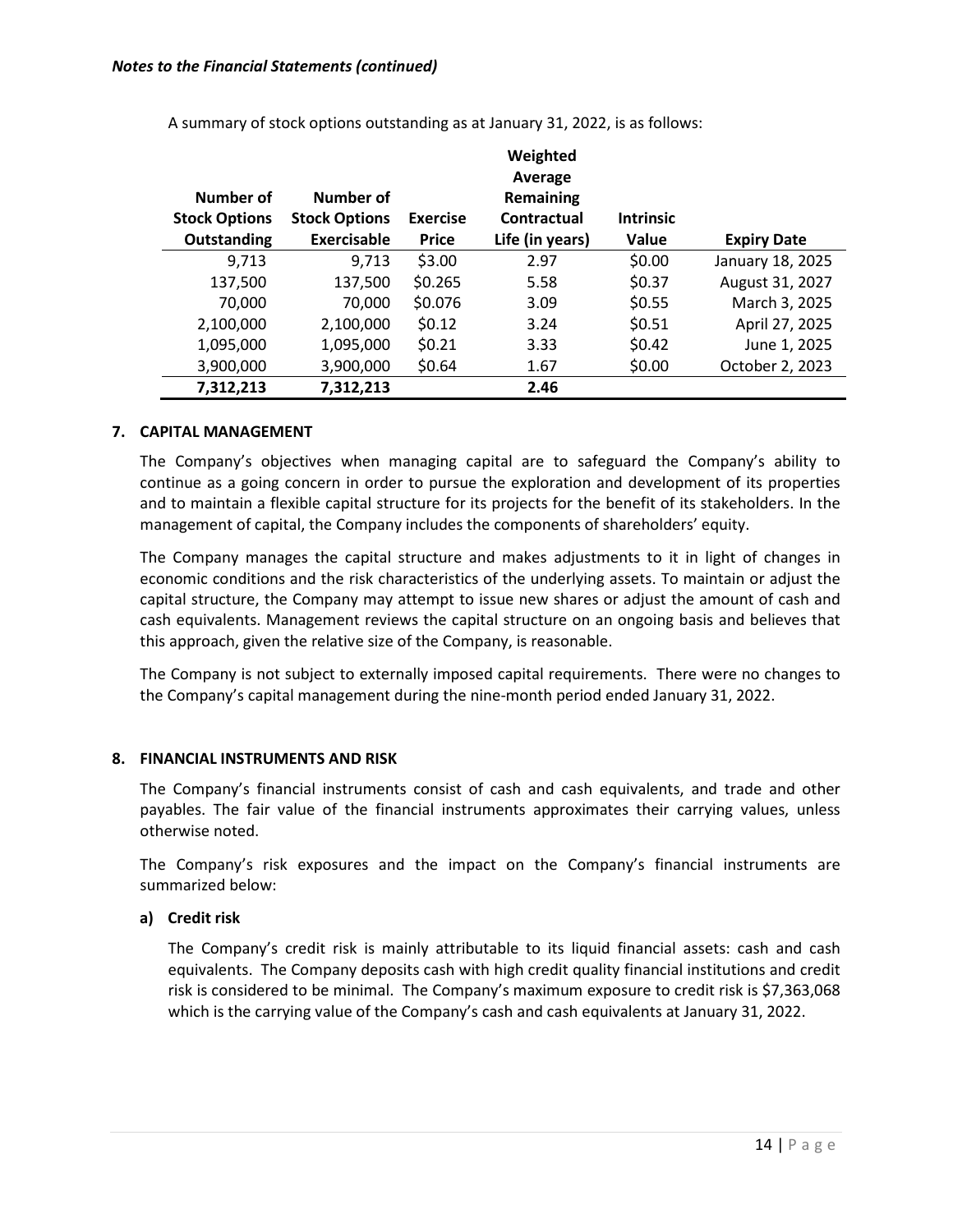|                      |                      |                 | Weighted<br>Average |                  |                    |
|----------------------|----------------------|-----------------|---------------------|------------------|--------------------|
| Number of            | Number of            |                 | Remaining           |                  |                    |
| <b>Stock Options</b> | <b>Stock Options</b> | <b>Exercise</b> | Contractual         | <b>Intrinsic</b> |                    |
| Outstanding          | Exercisable          | <b>Price</b>    | Life (in years)     | Value            | <b>Expiry Date</b> |
| 9,713                | 9,713                | \$3.00          | 2.97                | \$0.00           | January 18, 2025   |
| 137,500              | 137,500              | \$0.265         | 5.58                | \$0.37           | August 31, 2027    |
| 70,000               | 70,000               | \$0.076         | 3.09                | \$0.55           | March 3, 2025      |
| 2,100,000            | 2,100,000            | \$0.12          | 3.24                | \$0.51           | April 27, 2025     |
| 1,095,000            | 1,095,000            | \$0.21          | 3.33                | \$0.42           | June 1, 2025       |
| 3,900,000            | 3,900,000            | \$0.64          | 1.67                | \$0.00           | October 2, 2023    |
| 7,312,213            | 7,312,213            |                 | 2.46                |                  |                    |

A summary of stock options outstanding as at January 31, 2022, is as follows:

# **7. CAPITAL MANAGEMENT**

The Company's objectives when managing capital are to safeguard the Company's ability to continue as a going concern in order to pursue the exploration and development of its properties and to maintain a flexible capital structure for its projects for the benefit of its stakeholders. In the management of capital, the Company includes the components of shareholders' equity.

The Company manages the capital structure and makes adjustments to it in light of changes in economic conditions and the risk characteristics of the underlying assets. To maintain or adjust the capital structure, the Company may attempt to issue new shares or adjust the amount of cash and cash equivalents. Management reviews the capital structure on an ongoing basis and believes that this approach, given the relative size of the Company, is reasonable.

The Company is not subject to externally imposed capital requirements. There were no changes to the Company's capital management during the nine-month period ended January 31, 2022.

# **8. FINANCIAL INSTRUMENTS AND RISK**

The Company's financial instruments consist of cash and cash equivalents, and trade and other payables. The fair value of the financial instruments approximates their carrying values, unless otherwise noted.

The Company's risk exposures and the impact on the Company's financial instruments are summarized below:

# **a) Credit risk**

The Company's credit risk is mainly attributable to its liquid financial assets: cash and cash equivalents. The Company deposits cash with high credit quality financial institutions and credit risk is considered to be minimal. The Company's maximum exposure to credit risk is \$7,363,068 which is the carrying value of the Company's cash and cash equivalents at January 31, 2022.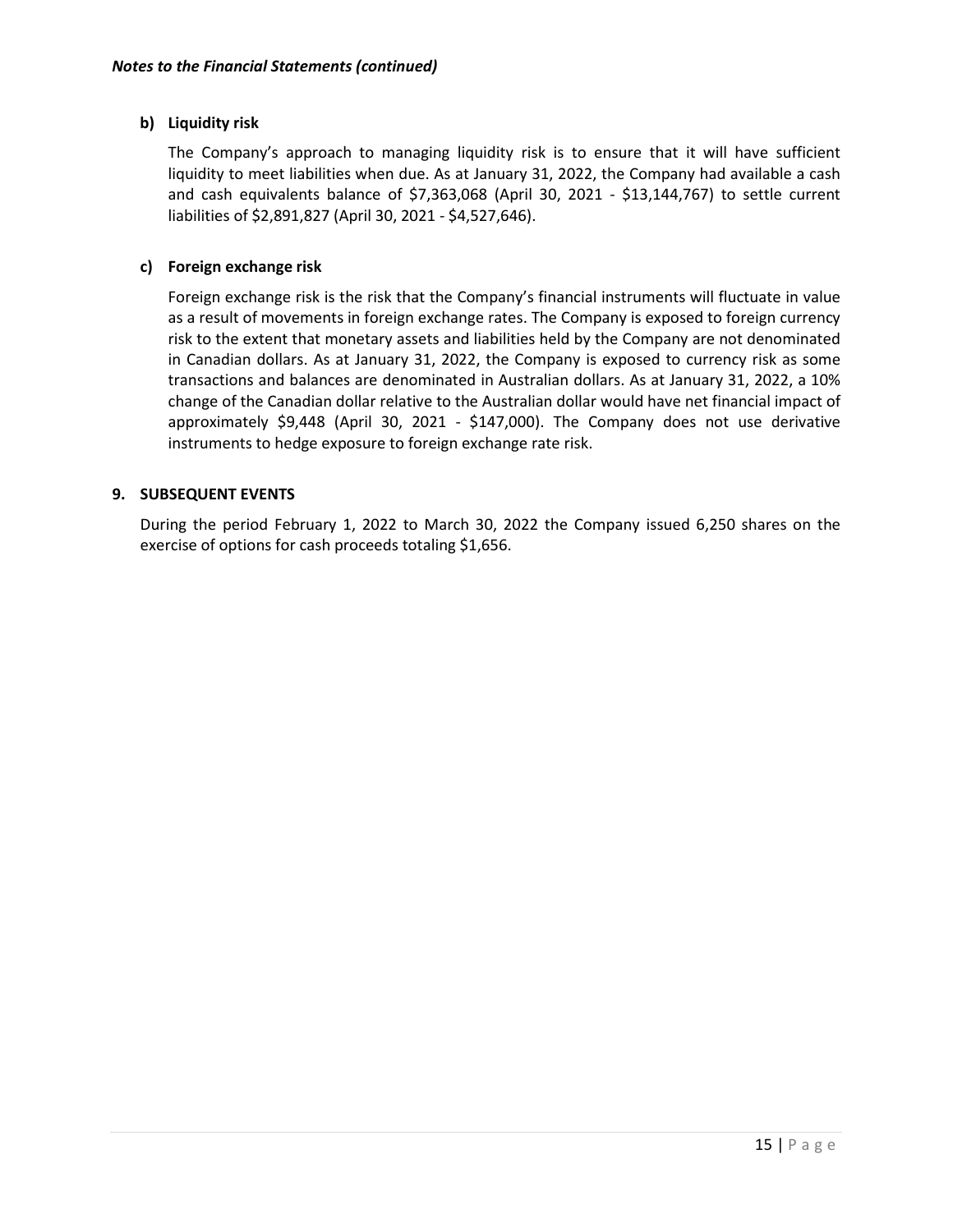# **b) Liquidity risk**

The Company's approach to managing liquidity risk is to ensure that it will have sufficient liquidity to meet liabilities when due. As at January 31, 2022, the Company had available a cash and cash equivalents balance of \$7,363,068 (April 30, 2021 - \$13,144,767) to settle current liabilities of \$2,891,827 (April 30, 2021 - \$4,527,646).

# **c) Foreign exchange risk**

Foreign exchange risk is the risk that the Company's financial instruments will fluctuate in value as a result of movements in foreign exchange rates. The Company is exposed to foreign currency risk to the extent that monetary assets and liabilities held by the Company are not denominated in Canadian dollars. As at January 31, 2022, the Company is exposed to currency risk as some transactions and balances are denominated in Australian dollars. As at January 31, 2022, a 10% change of the Canadian dollar relative to the Australian dollar would have net financial impact of approximately \$9,448 (April 30, 2021 - \$147,000). The Company does not use derivative instruments to hedge exposure to foreign exchange rate risk.

#### **9. SUBSEQUENT EVENTS**

During the period February 1, 2022 to March 30, 2022 the Company issued 6,250 shares on the exercise of options for cash proceeds totaling \$1,656.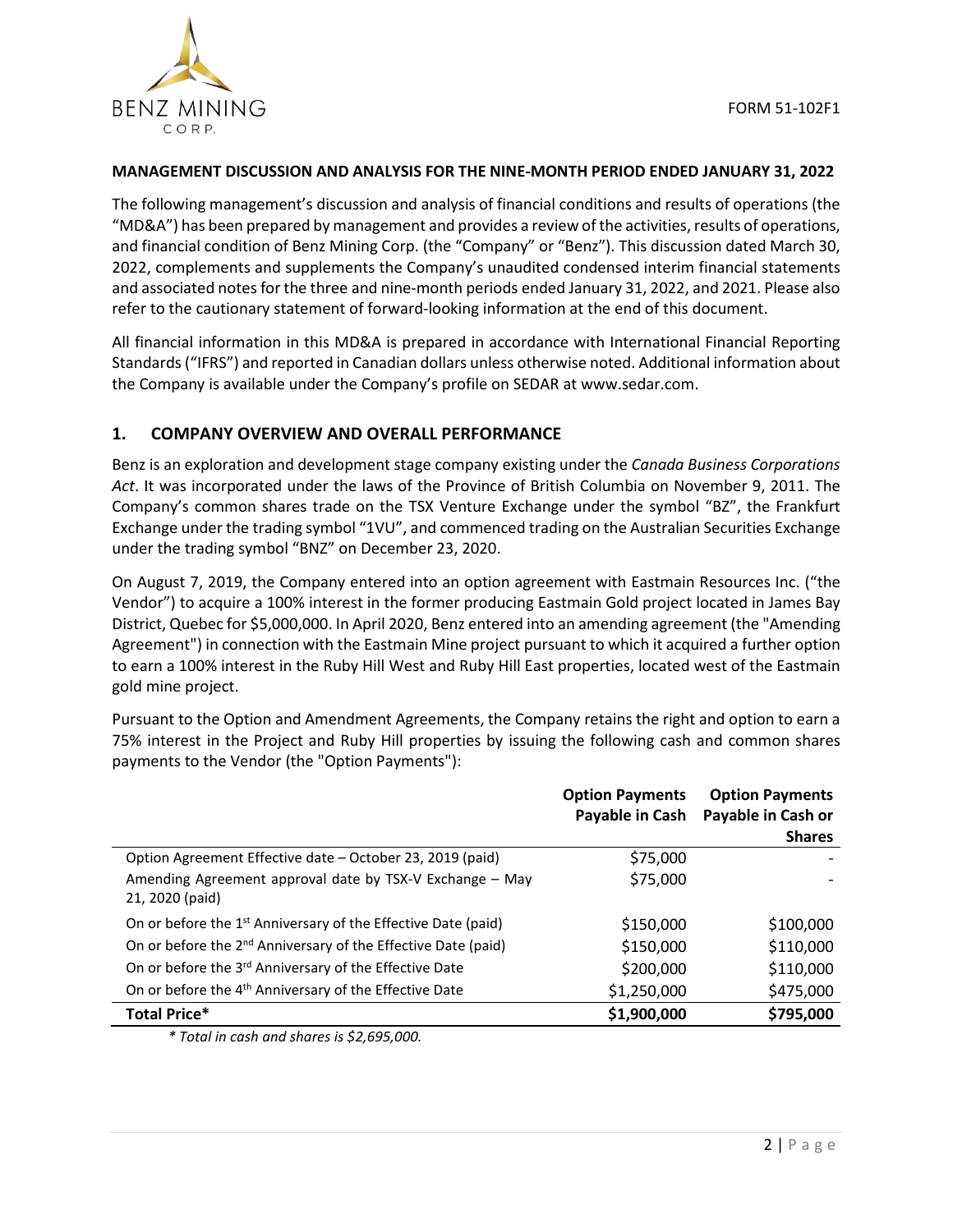

#### **MANAGEMENT DISCUSSION AND ANALYSIS FOR THE NINE-MONTH PERIOD ENDED JANUARY 31, 2022**

The following management's discussion and analysis of financial conditions and results of operations (the "MD&A") has been prepared by management and provides a review of the activities, results of operations, and financial condition of Benz Mining Corp. (the "Company" or "Benz"). This discussion dated March 30, 2022, complements and supplements the Company's unaudited condensed interim financial statements and associated notes for the three and nine-month periods ended January 31, 2022, and 2021. Please also refer to the cautionary statement of forward-looking information at the end of this document.

All financial information in this MD&A is prepared in accordance with International Financial Reporting Standards ("IFRS") and reported in Canadian dollars unless otherwise noted. Additional information about the Company is available under the Company's profile on SEDAR at www.sedar.com.

# **1. COMPANY OVERVIEW AND OVERALL PERFORMANCE**

Benz is an exploration and development stage company existing under the *Canada Business Corporations Act*. It was incorporated under the laws of the Province of British Columbia on November 9, 2011. The Company's common shares trade on the TSX Venture Exchange under the symbol "BZ", the Frankfurt Exchange under the trading symbol "1VU", and commenced trading on the Australian Securities Exchange under the trading symbol "BNZ" on December 23, 2020.

On August 7, 2019, the Company entered into an option agreement with Eastmain Resources Inc. ("the Vendor") to acquire a 100% interest in the former producing Eastmain Gold project located in James Bay District, Quebec for \$5,000,000. In April 2020, Benz entered into an amending agreement (the "Amending Agreement") in connection with the Eastmain Mine project pursuant to which it acquired a further option to earn a 100% interest in the Ruby Hill West and Ruby Hill East properties, located west of the Eastmain gold mine project.

Pursuant to the Option and Amendment Agreements, the Company retains the right and option to earn a 75% interest in the Project and Ruby Hill properties by issuing the following cash and common shares payments to the Vendor (the "Option Payments"):

|                                                                             | <b>Option Payments</b><br>Payable in Cash | <b>Option Payments</b><br>Payable in Cash or |
|-----------------------------------------------------------------------------|-------------------------------------------|----------------------------------------------|
|                                                                             |                                           | <b>Shares</b>                                |
| Option Agreement Effective date – October 23, 2019 (paid)                   | \$75,000                                  |                                              |
| Amending Agreement approval date by TSX-V Exchange - May<br>21, 2020 (paid) | \$75,000                                  |                                              |
| On or before the 1 <sup>st</sup> Anniversary of the Effective Date (paid)   | \$150,000                                 | \$100,000                                    |
| On or before the 2 <sup>nd</sup> Anniversary of the Effective Date (paid)   | \$150,000                                 | \$110,000                                    |
| On or before the 3 <sup>rd</sup> Anniversary of the Effective Date          | \$200,000                                 | \$110,000                                    |
| On or before the 4 <sup>th</sup> Anniversary of the Effective Date          | \$1,250,000                               | \$475,000                                    |
| <b>Total Price*</b>                                                         | \$1,900,000                               | \$795,000                                    |

*\* Total in cash and shares is \$2,695,000.*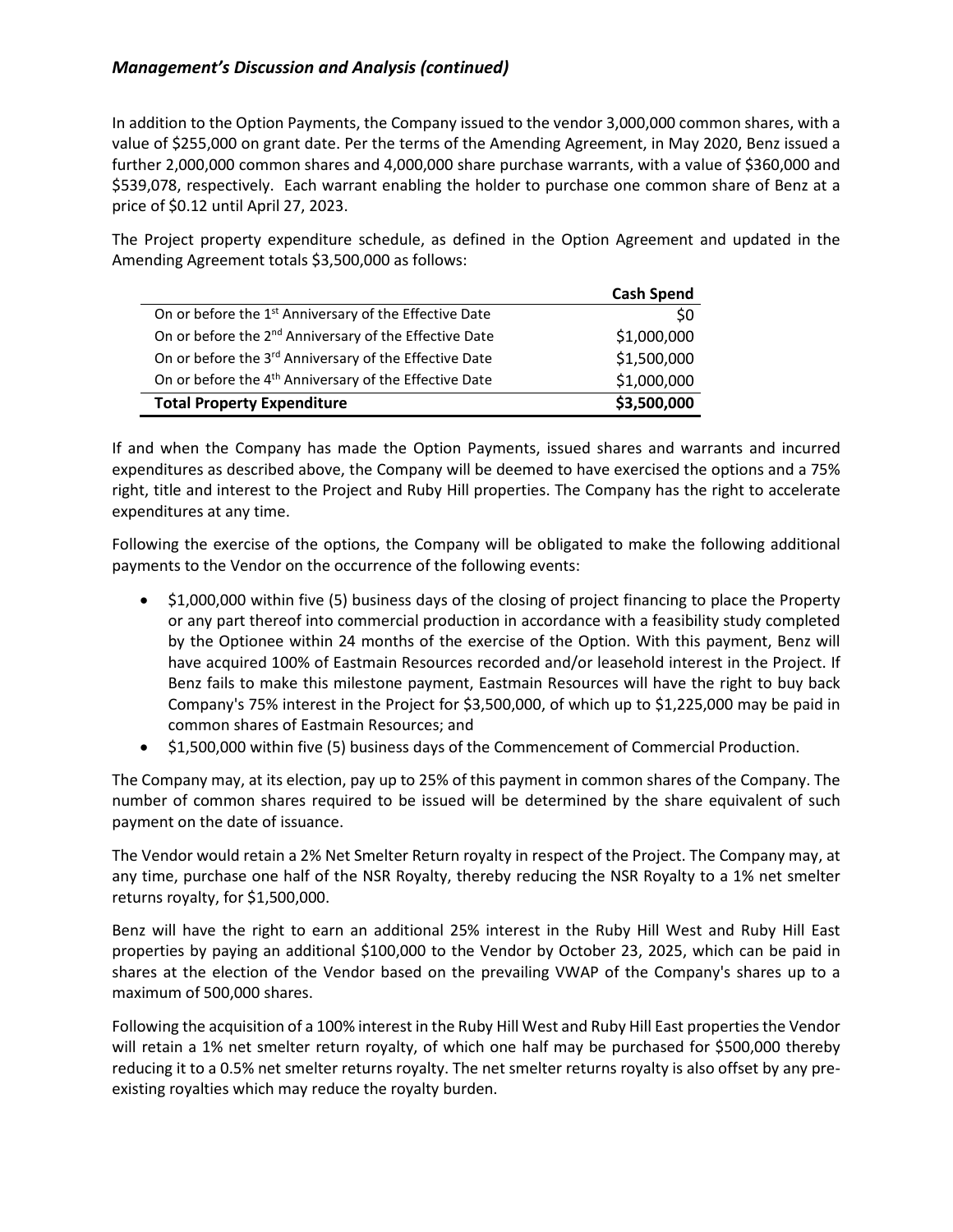In addition to the Option Payments, the Company issued to the vendor 3,000,000 common shares, with a value of \$255,000 on grant date. Per the terms of the Amending Agreement, in May 2020, Benz issued a further 2,000,000 common shares and 4,000,000 share purchase warrants, with a value of \$360,000 and \$539,078, respectively. Each warrant enabling the holder to purchase one common share of Benz at a price of \$0.12 until April 27, 2023.

The Project property expenditure schedule, as defined in the Option Agreement and updated in the Amending Agreement totals \$3,500,000 as follows:

|                                                                    | <b>Cash Spend</b> |
|--------------------------------------------------------------------|-------------------|
| On or before the 1 <sup>st</sup> Anniversary of the Effective Date | \$0               |
| On or before the 2 <sup>nd</sup> Anniversary of the Effective Date | \$1,000,000       |
| On or before the 3 <sup>rd</sup> Anniversary of the Effective Date | \$1,500,000       |
| On or before the 4 <sup>th</sup> Anniversary of the Effective Date | \$1,000,000       |
| <b>Total Property Expenditure</b>                                  | \$3,500,000       |

If and when the Company has made the Option Payments, issued shares and warrants and incurred expenditures as described above, the Company will be deemed to have exercised the options and a 75% right, title and interest to the Project and Ruby Hill properties. The Company has the right to accelerate expenditures at any time.

Following the exercise of the options, the Company will be obligated to make the following additional payments to the Vendor on the occurrence of the following events:

- \$1,000,000 within five (5) business days of the closing of project financing to place the Property or any part thereof into commercial production in accordance with a feasibility study completed by the Optionee within 24 months of the exercise of the Option. With this payment, Benz will have acquired 100% of Eastmain Resources recorded and/or leasehold interest in the Project. If Benz fails to make this milestone payment, Eastmain Resources will have the right to buy back Company's 75% interest in the Project for \$3,500,000, of which up to \$1,225,000 may be paid in common shares of Eastmain Resources; and
- \$1,500,000 within five (5) business days of the Commencement of Commercial Production.

The Company may, at its election, pay up to 25% of this payment in common shares of the Company. The number of common shares required to be issued will be determined by the share equivalent of such payment on the date of issuance.

The Vendor would retain a 2% Net Smelter Return royalty in respect of the Project. The Company may, at any time, purchase one half of the NSR Royalty, thereby reducing the NSR Royalty to a 1% net smelter returns royalty, for \$1,500,000.

Benz will have the right to earn an additional 25% interest in the Ruby Hill West and Ruby Hill East properties by paying an additional \$100,000 to the Vendor by October 23, 2025, which can be paid in shares at the election of the Vendor based on the prevailing VWAP of the Company's shares up to a maximum of 500,000 shares.

Following the acquisition of a 100% interest in the Ruby Hill West and Ruby Hill East properties the Vendor will retain a 1% net smelter return royalty, of which one half may be purchased for \$500,000 thereby reducing it to a 0.5% net smelter returns royalty. The net smelter returns royalty is also offset by any preexisting royalties which may reduce the royalty burden.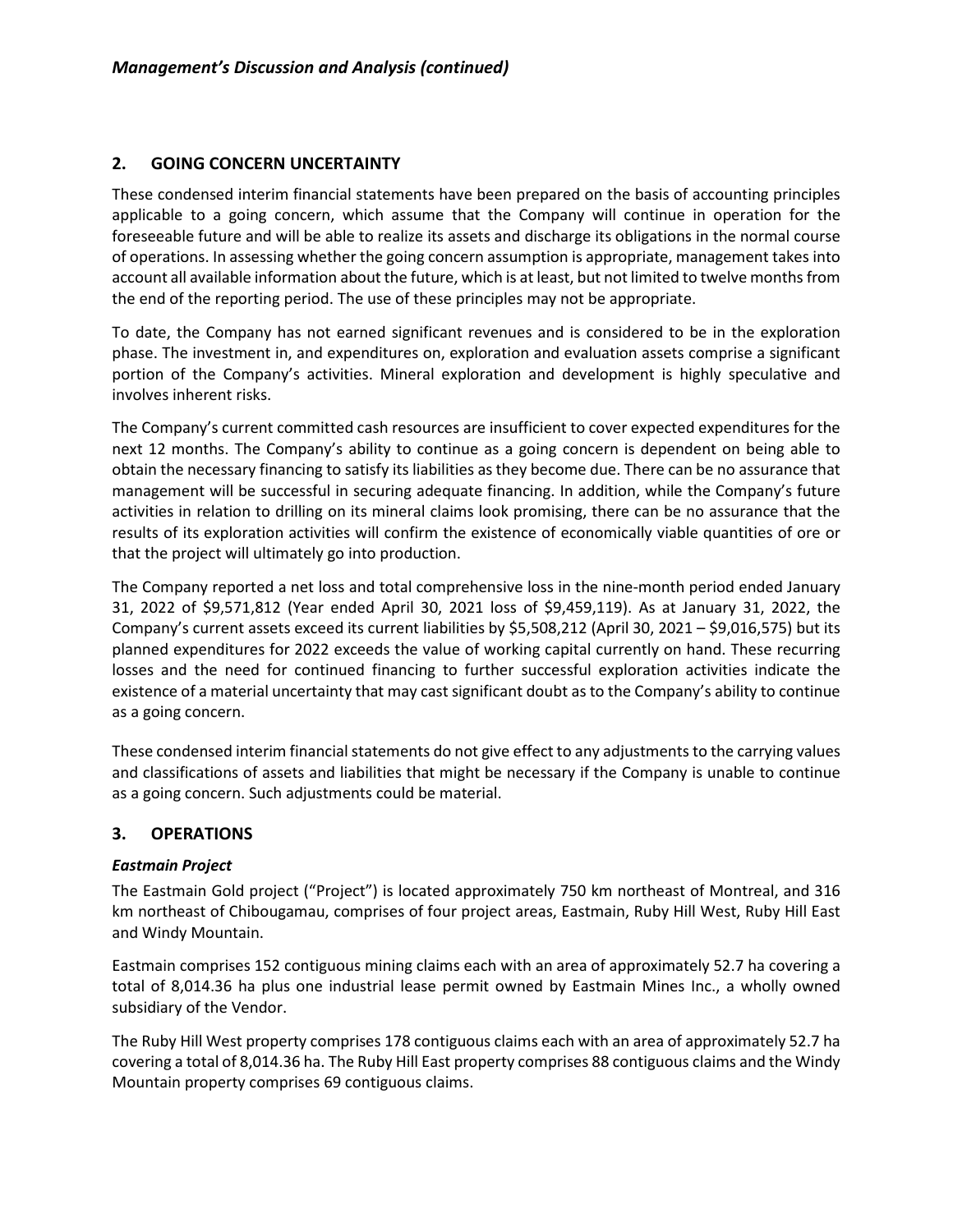# **2. GOING CONCERN UNCERTAINTY**

These condensed interim financial statements have been prepared on the basis of accounting principles applicable to a going concern, which assume that the Company will continue in operation for the foreseeable future and will be able to realize its assets and discharge its obligations in the normal course of operations. In assessing whether the going concern assumption is appropriate, management takes into account all available information about the future, which is at least, but not limited to twelve months from the end of the reporting period. The use of these principles may not be appropriate.

To date, the Company has not earned significant revenues and is considered to be in the exploration phase. The investment in, and expenditures on, exploration and evaluation assets comprise a significant portion of the Company's activities. Mineral exploration and development is highly speculative and involves inherent risks.

The Company's current committed cash resources are insufficient to cover expected expenditures for the next 12 months. The Company's ability to continue as a going concern is dependent on being able to obtain the necessary financing to satisfy its liabilities as they become due. There can be no assurance that management will be successful in securing adequate financing. In addition, while the Company's future activities in relation to drilling on its mineral claims look promising, there can be no assurance that the results of its exploration activities will confirm the existence of economically viable quantities of ore or that the project will ultimately go into production.

The Company reported a net loss and total comprehensive loss in the nine-month period ended January 31, 2022 of \$9,571,812 (Year ended April 30, 2021 loss of \$9,459,119). As at January 31, 2022, the Company's current assets exceed its current liabilities by \$5,508,212 (April 30, 2021 – \$9,016,575) but its planned expenditures for 2022 exceeds the value of working capital currently on hand. These recurring losses and the need for continued financing to further successful exploration activities indicate the existence of a material uncertainty that may cast significant doubt as to the Company's ability to continue as a going concern.

These condensed interim financial statements do not give effect to any adjustments to the carrying values and classifications of assets and liabilities that might be necessary if the Company is unable to continue as a going concern. Such adjustments could be material.

# **3. OPERATIONS**

# *Eastmain Project*

The Eastmain Gold project ("Project") is located approximately 750 km northeast of Montreal, and 316 km northeast of Chibougamau, comprises of four project areas, Eastmain, Ruby Hill West, Ruby Hill East and Windy Mountain.

Eastmain comprises 152 contiguous mining claims each with an area of approximately 52.7 ha covering a total of 8,014.36 ha plus one industrial lease permit owned by Eastmain Mines Inc., a wholly owned subsidiary of the Vendor.

The Ruby Hill West property comprises 178 contiguous claims each with an area of approximately 52.7 ha covering a total of 8,014.36 ha. The Ruby Hill East property comprises 88 contiguous claims and the Windy Mountain property comprises 69 contiguous claims.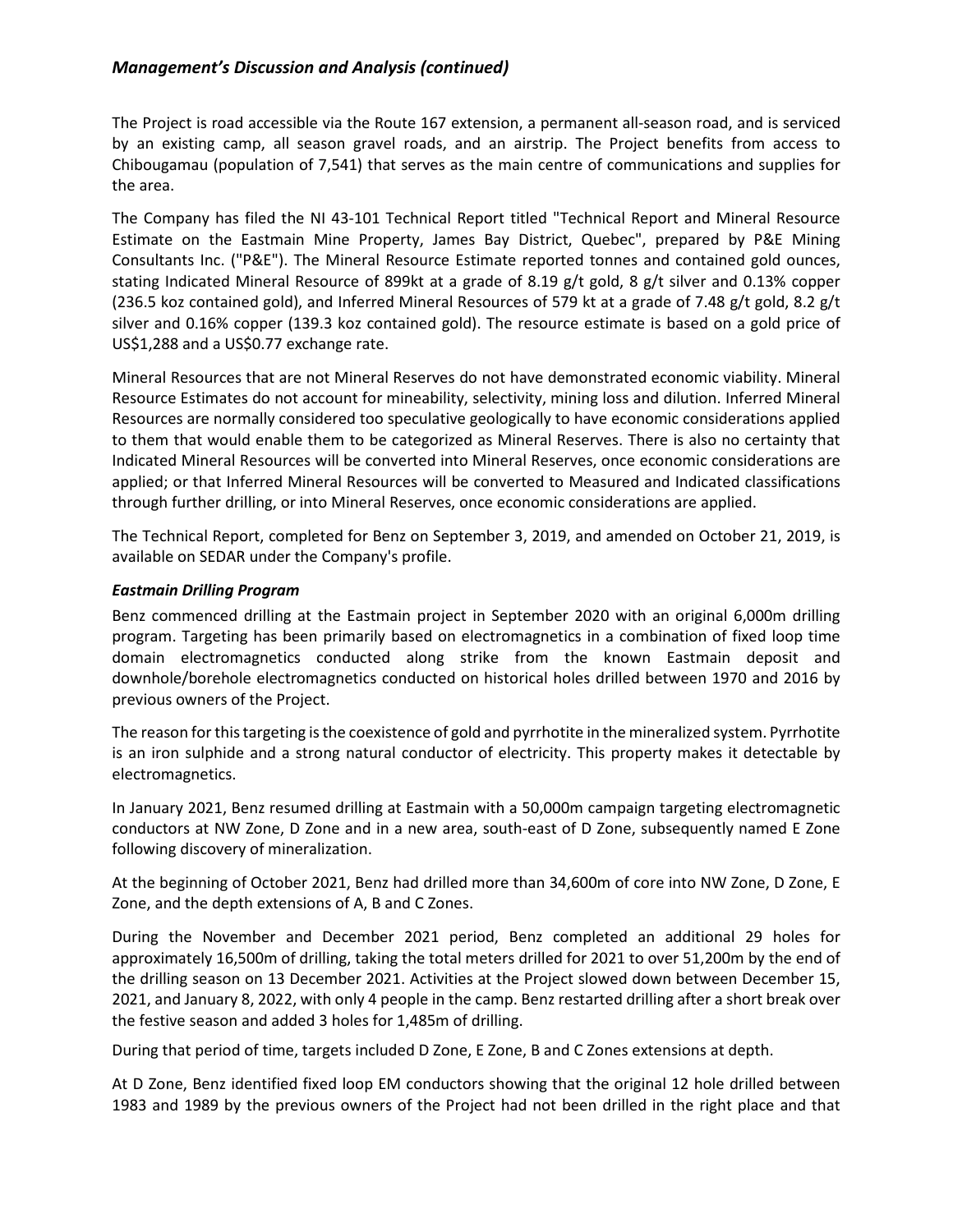The Project is road accessible via the Route 167 extension, a permanent all-season road, and is serviced by an existing camp, all season gravel roads, and an airstrip. The Project benefits from access to Chibougamau (population of 7,541) that serves as the main centre of communications and supplies for the area.

The Company has filed the NI 43-101 Technical Report titled "Technical Report and Mineral Resource Estimate on the Eastmain Mine Property, James Bay District, Quebec", prepared by P&E Mining Consultants Inc. ("P&E"). The Mineral Resource Estimate reported tonnes and contained gold ounces, stating Indicated Mineral Resource of 899kt at a grade of 8.19 g/t gold, 8 g/t silver and 0.13% copper (236.5 koz contained gold), and Inferred Mineral Resources of 579 kt at a grade of 7.48 g/t gold, 8.2 g/t silver and 0.16% copper (139.3 koz contained gold). The resource estimate is based on a gold price of US\$1,288 and a US\$0.77 exchange rate.

Mineral Resources that are not Mineral Reserves do not have demonstrated economic viability. Mineral Resource Estimates do not account for mineability, selectivity, mining loss and dilution. Inferred Mineral Resources are normally considered too speculative geologically to have economic considerations applied to them that would enable them to be categorized as Mineral Reserves. There is also no certainty that Indicated Mineral Resources will be converted into Mineral Reserves, once economic considerations are applied; or that Inferred Mineral Resources will be converted to Measured and Indicated classifications through further drilling, or into Mineral Reserves, once economic considerations are applied.

The Technical Report, completed for Benz on September 3, 2019, and amended on October 21, 2019, is available on SEDAR under the Company's profile.

#### *Eastmain Drilling Program*

Benz commenced drilling at the Eastmain project in September 2020 with an original 6,000m drilling program. Targeting has been primarily based on electromagnetics in a combination of fixed loop time domain electromagnetics conducted along strike from the known Eastmain deposit and downhole/borehole electromagnetics conducted on historical holes drilled between 1970 and 2016 by previous owners of the Project.

The reason for this targeting is the coexistence of gold and pyrrhotite in the mineralized system. Pyrrhotite is an iron sulphide and a strong natural conductor of electricity. This property makes it detectable by electromagnetics.

In January 2021, Benz resumed drilling at Eastmain with a 50,000m campaign targeting electromagnetic conductors at NW Zone, D Zone and in a new area, south-east of D Zone, subsequently named E Zone following discovery of mineralization.

At the beginning of October 2021, Benz had drilled more than 34,600m of core into NW Zone, D Zone, E Zone, and the depth extensions of A, B and C Zones.

During the November and December 2021 period, Benz completed an additional 29 holes for approximately 16,500m of drilling, taking the total meters drilled for 2021 to over 51,200m by the end of the drilling season on 13 December 2021. Activities at the Project slowed down between December 15, 2021, and January 8, 2022, with only 4 people in the camp. Benz restarted drilling after a short break over the festive season and added 3 holes for 1,485m of drilling.

During that period of time, targets included D Zone, E Zone, B and C Zones extensions at depth.

At D Zone, Benz identified fixed loop EM conductors showing that the original 12 hole drilled between 1983 and 1989 by the previous owners of the Project had not been drilled in the right place and that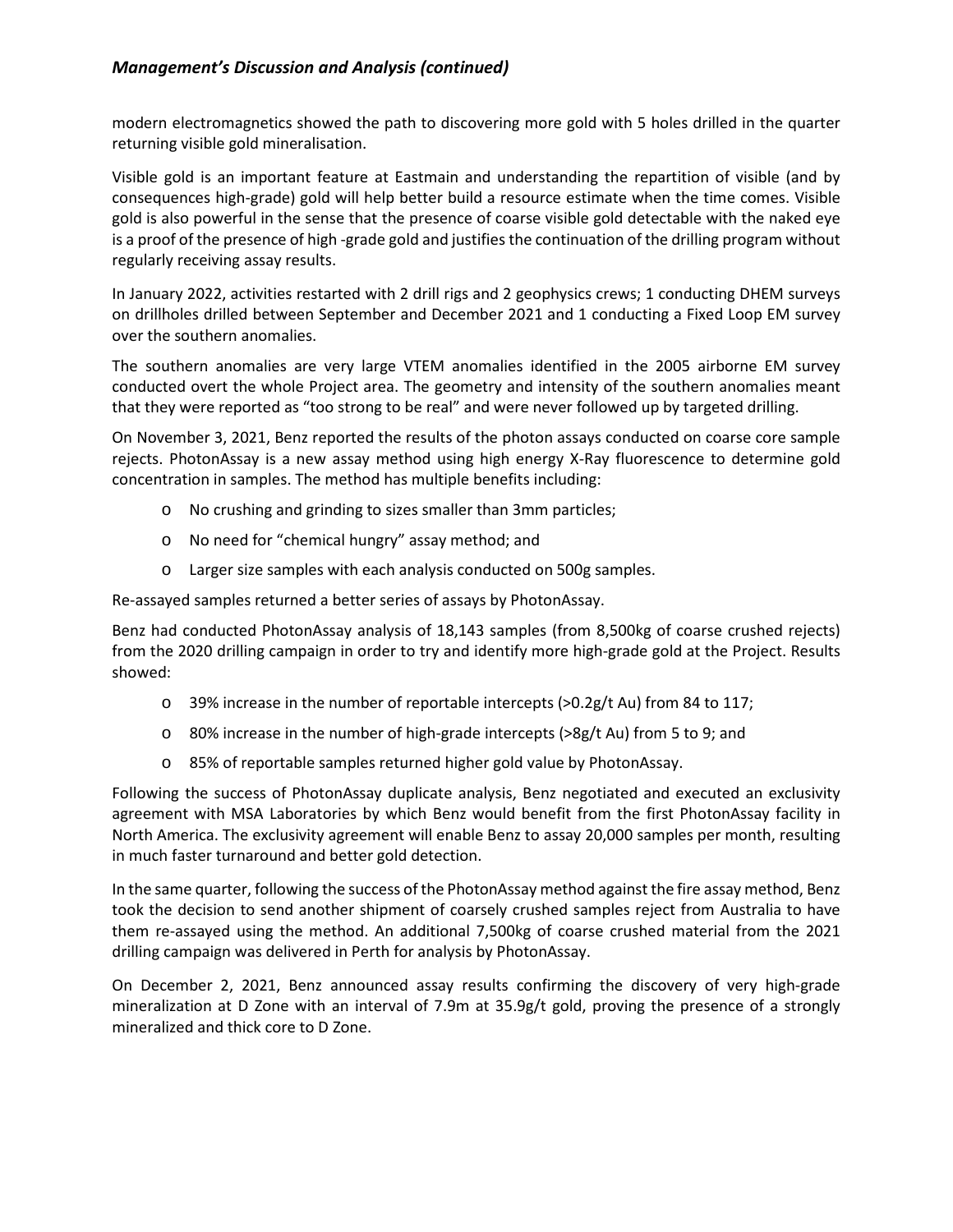modern electromagnetics showed the path to discovering more gold with 5 holes drilled in the quarter returning visible gold mineralisation.

Visible gold is an important feature at Eastmain and understanding the repartition of visible (and by consequences high-grade) gold will help better build a resource estimate when the time comes. Visible gold is also powerful in the sense that the presence of coarse visible gold detectable with the naked eye is a proof of the presence of high -grade gold and justifies the continuation of the drilling program without regularly receiving assay results.

In January 2022, activities restarted with 2 drill rigs and 2 geophysics crews; 1 conducting DHEM surveys on drillholes drilled between September and December 2021 and 1 conducting a Fixed Loop EM survey over the southern anomalies.

The southern anomalies are very large VTEM anomalies identified in the 2005 airborne EM survey conducted overt the whole Project area. The geometry and intensity of the southern anomalies meant that they were reported as "too strong to be real" and were never followed up by targeted drilling.

On November 3, 2021, Benz reported the results of the photon assays conducted on coarse core sample rejects. PhotonAssay is a new assay method using high energy X-Ray fluorescence to determine gold concentration in samples. The method has multiple benefits including:

- o No crushing and grinding to sizes smaller than 3mm particles;
- o No need for "chemical hungry" assay method; and
- o Larger size samples with each analysis conducted on 500g samples.

Re-assayed samples returned a better series of assays by PhotonAssay.

Benz had conducted PhotonAssay analysis of 18,143 samples (from 8,500kg of coarse crushed rejects) from the 2020 drilling campaign in order to try and identify more high-grade gold at the Project. Results showed:

- o 39% increase in the number of reportable intercepts (>0.2g/t Au) from 84 to 117;
- $\circ$  80% increase in the number of high-grade intercepts (>8g/t Au) from 5 to 9; and
- o 85% of reportable samples returned higher gold value by PhotonAssay.

Following the success of PhotonAssay duplicate analysis, Benz negotiated and executed an exclusivity agreement with MSA Laboratories by which Benz would benefit from the first PhotonAssay facility in North America. The exclusivity agreement will enable Benz to assay 20,000 samples per month, resulting in much faster turnaround and better gold detection.

In the same quarter, following the success of the PhotonAssay method against the fire assay method, Benz took the decision to send another shipment of coarsely crushed samples reject from Australia to have them re-assayed using the method. An additional 7,500kg of coarse crushed material from the 2021 drilling campaign was delivered in Perth for analysis by PhotonAssay.

On December 2, 2021, Benz announced assay results confirming the discovery of very high-grade mineralization at D Zone with an interval of 7.9m at 35.9g/t gold, proving the presence of a strongly mineralized and thick core to D Zone.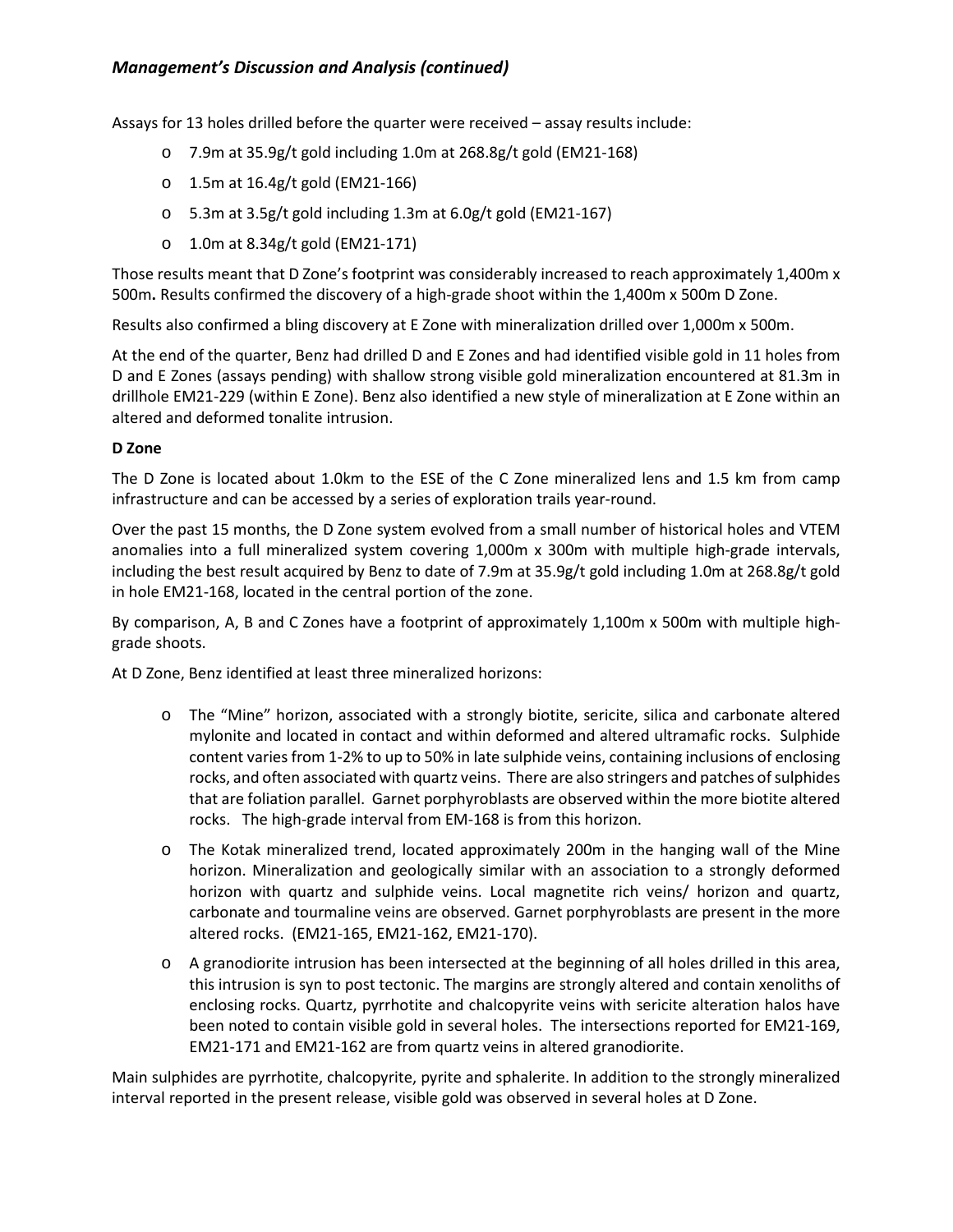Assays for 13 holes drilled before the quarter were received – assay results include:

- o 7.9m at 35.9g/t gold including 1.0m at 268.8g/t gold (EM21-168)
- o 1.5m at 16.4g/t gold (EM21-166)
- o 5.3m at 3.5g/t gold including 1.3m at 6.0g/t gold (EM21-167)
- o 1.0m at 8.34g/t gold (EM21-171)

Those results meant that D Zone's footprint was considerably increased to reach approximately 1,400m x 500m**.** Results confirmed the discovery of a high-grade shoot within the 1,400m x 500m D Zone.

Results also confirmed a bling discovery at E Zone with mineralization drilled over 1,000m x 500m.

At the end of the quarter, Benz had drilled D and E Zones and had identified visible gold in 11 holes from D and E Zones (assays pending) with shallow strong visible gold mineralization encountered at 81.3m in drillhole EM21-229 (within E Zone). Benz also identified a new style of mineralization at E Zone within an altered and deformed tonalite intrusion.

#### **D Zone**

The D Zone is located about 1.0km to the ESE of the C Zone mineralized lens and 1.5 km from camp infrastructure and can be accessed by a series of exploration trails year-round.

Over the past 15 months, the D Zone system evolved from a small number of historical holes and VTEM anomalies into a full mineralized system covering 1,000m x 300m with multiple high-grade intervals, including the best result acquired by Benz to date of 7.9m at 35.9g/t gold including 1.0m at 268.8g/t gold in hole EM21-168, located in the central portion of the zone.

By comparison, A, B and C Zones have a footprint of approximately 1,100m x 500m with multiple highgrade shoots.

At D Zone, Benz identified at least three mineralized horizons:

- o The "Mine" horizon, associated with a strongly biotite, sericite, silica and carbonate altered mylonite and located in contact and within deformed and altered ultramafic rocks. Sulphide content varies from 1-2% to up to 50% in late sulphide veins, containing inclusions of enclosing rocks, and often associated with quartz veins. There are also stringers and patches of sulphides that are foliation parallel. Garnet porphyroblasts are observed within the more biotite altered rocks. The high-grade interval from EM-168 is from this horizon.
- o The Kotak mineralized trend, located approximately 200m in the hanging wall of the Mine horizon. Mineralization and geologically similar with an association to a strongly deformed horizon with quartz and sulphide veins. Local magnetite rich veins/ horizon and quartz, carbonate and tourmaline veins are observed. Garnet porphyroblasts are present in the more altered rocks. (EM21-165, EM21-162, EM21-170).
- $\circ$  A granodiorite intrusion has been intersected at the beginning of all holes drilled in this area, this intrusion is syn to post tectonic. The margins are strongly altered and contain xenoliths of enclosing rocks. Quartz, pyrrhotite and chalcopyrite veins with sericite alteration halos have been noted to contain visible gold in several holes. The intersections reported for EM21-169, EM21-171 and EM21-162 are from quartz veins in altered granodiorite.

Main sulphides are pyrrhotite, chalcopyrite, pyrite and sphalerite. In addition to the strongly mineralized interval reported in the present release, visible gold was observed in several holes at D Zone.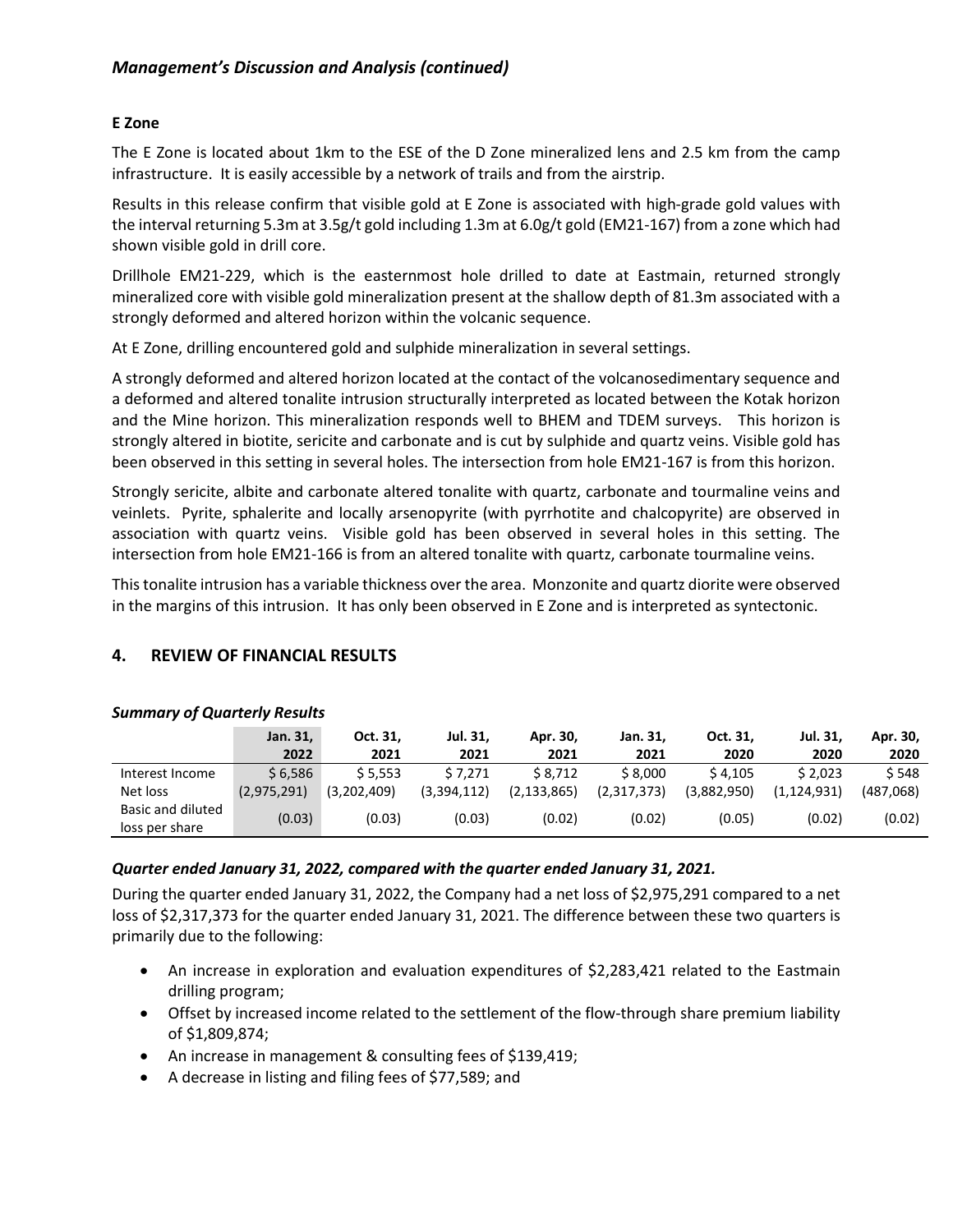# **E Zone**

The E Zone is located about 1km to the ESE of the D Zone mineralized lens and 2.5 km from the camp infrastructure. It is easily accessible by a network of trails and from the airstrip.

Results in this release confirm that visible gold at E Zone is associated with high-grade gold values with the interval returning 5.3m at 3.5g/t gold including 1.3m at 6.0g/t gold (EM21-167) from a zone which had shown visible gold in drill core.

Drillhole EM21-229, which is the easternmost hole drilled to date at Eastmain, returned strongly mineralized core with visible gold mineralization present at the shallow depth of 81.3m associated with a strongly deformed and altered horizon within the volcanic sequence.

At E Zone, drilling encountered gold and sulphide mineralization in several settings.

A strongly deformed and altered horizon located at the contact of the volcanosedimentary sequence and a deformed and altered tonalite intrusion structurally interpreted as located between the Kotak horizon and the Mine horizon. This mineralization responds well to BHEM and TDEM surveys. This horizon is strongly altered in biotite, sericite and carbonate and is cut by sulphide and quartz veins. Visible gold has been observed in this setting in several holes. The intersection from hole EM21-167 is from this horizon.

Strongly sericite, albite and carbonate altered tonalite with quartz, carbonate and tourmaline veins and veinlets. Pyrite, sphalerite and locally arsenopyrite (with pyrrhotite and chalcopyrite) are observed in association with quartz veins. Visible gold has been observed in several holes in this setting. The intersection from hole EM21-166 is from an altered tonalite with quartz, carbonate tourmaline veins.

This tonalite intrusion has a variable thickness over the area. Monzonite and quartz diorite were observed in the margins of this intrusion. It has only been observed in E Zone and is interpreted as syntectonic.

# **4. REVIEW OF FINANCIAL RESULTS**

|                   | Jan. 31,    | Oct. 31.    | Jul. 31.    | Apr. 30,      | Jan. 31.    | Oct. 31.    | Jul. 31,    | Apr. 30,  |
|-------------------|-------------|-------------|-------------|---------------|-------------|-------------|-------------|-----------|
|                   | 2022        | 2021        | 2021        | 2021          | 2021        | 2020        | 2020        | 2020      |
| Interest Income   | \$6.586     | \$5.553     | \$7.271     | \$8.712       | \$8.000     | \$4.105     | \$2.023     | \$548     |
| Net loss          | (2,975,291) | (3.202.409) | (3,394,112) | (2, 133, 865) | (2,317,373) | (3,882,950) | (1.124.931) | (487,068) |
| Basic and diluted | (0.03)      | (0.03)      | (0.03)      | (0.02)        | (0.02)      | (0.05)      | (0.02)      | (0.02)    |
| loss per share    |             |             |             |               |             |             |             |           |

# *Summary of Quarterly Results*

# *Quarter ended January 31, 2022, compared with the quarter ended January 31, 2021.*

During the quarter ended January 31, 2022, the Company had a net loss of \$2,975,291 compared to a net loss of \$2,317,373 for the quarter ended January 31, 2021. The difference between these two quarters is primarily due to the following:

- An increase in exploration and evaluation expenditures of \$2,283,421 related to the Eastmain drilling program;
- Offset by increased income related to the settlement of the flow-through share premium liability of \$1,809,874;
- An increase in management & consulting fees of \$139,419;
- A decrease in listing and filing fees of \$77,589; and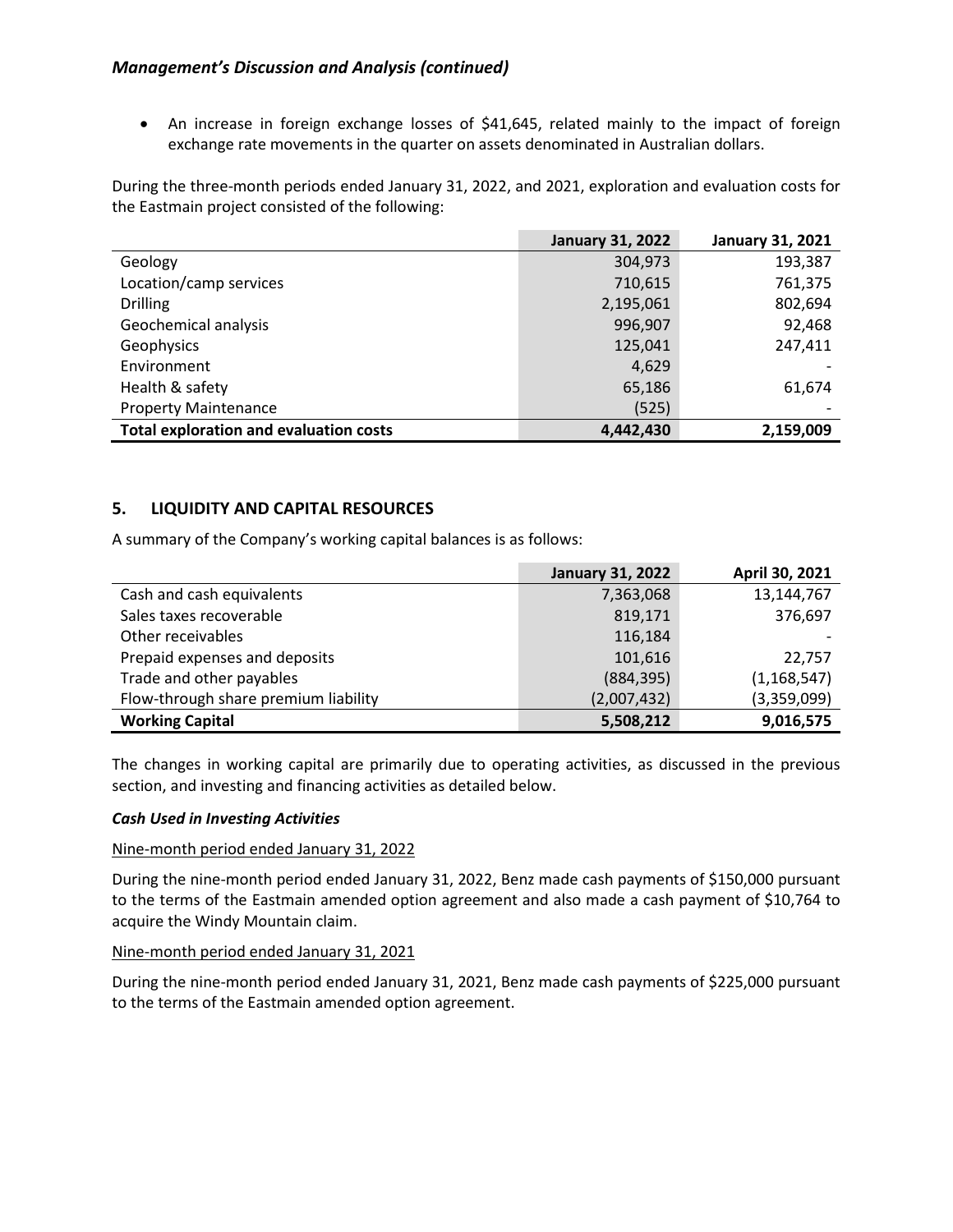• An increase in foreign exchange losses of \$41,645, related mainly to the impact of foreign exchange rate movements in the quarter on assets denominated in Australian dollars.

During the three-month periods ended January 31, 2022, and 2021, exploration and evaluation costs for the Eastmain project consisted of the following:

|                                               | <b>January 31, 2022</b> | <b>January 31, 2021</b> |
|-----------------------------------------------|-------------------------|-------------------------|
| Geology                                       | 304,973                 | 193,387                 |
| Location/camp services                        | 710,615                 | 761,375                 |
| <b>Drilling</b>                               | 2,195,061               | 802,694                 |
| Geochemical analysis                          | 996,907                 | 92,468                  |
| Geophysics                                    | 125,041                 | 247,411                 |
| Environment                                   | 4,629                   |                         |
| Health & safety                               | 65,186                  | 61,674                  |
| <b>Property Maintenance</b>                   | (525)                   |                         |
| <b>Total exploration and evaluation costs</b> | 4,442,430               | 2,159,009               |

# **5. LIQUIDITY AND CAPITAL RESOURCES**

A summary of the Company's working capital balances is as follows:

|                                      | <b>January 31, 2022</b> | April 30, 2021 |
|--------------------------------------|-------------------------|----------------|
| Cash and cash equivalents            | 7,363,068               | 13,144,767     |
| Sales taxes recoverable              | 819,171                 | 376,697        |
| Other receivables                    | 116,184                 |                |
| Prepaid expenses and deposits        | 101,616                 | 22.757         |
| Trade and other payables             | (884, 395)              | (1, 168, 547)  |
| Flow-through share premium liability | (2,007,432)             | (3,359,099)    |
| <b>Working Capital</b>               | 5,508,212               | 9,016,575      |

The changes in working capital are primarily due to operating activities, as discussed in the previous section, and investing and financing activities as detailed below.

#### *Cash Used in Investing Activities*

#### Nine-month period ended January 31, 2022

During the nine-month period ended January 31, 2022, Benz made cash payments of \$150,000 pursuant to the terms of the Eastmain amended option agreement and also made a cash payment of \$10,764 to acquire the Windy Mountain claim.

#### Nine-month period ended January 31, 2021

During the nine-month period ended January 31, 2021, Benz made cash payments of \$225,000 pursuant to the terms of the Eastmain amended option agreement.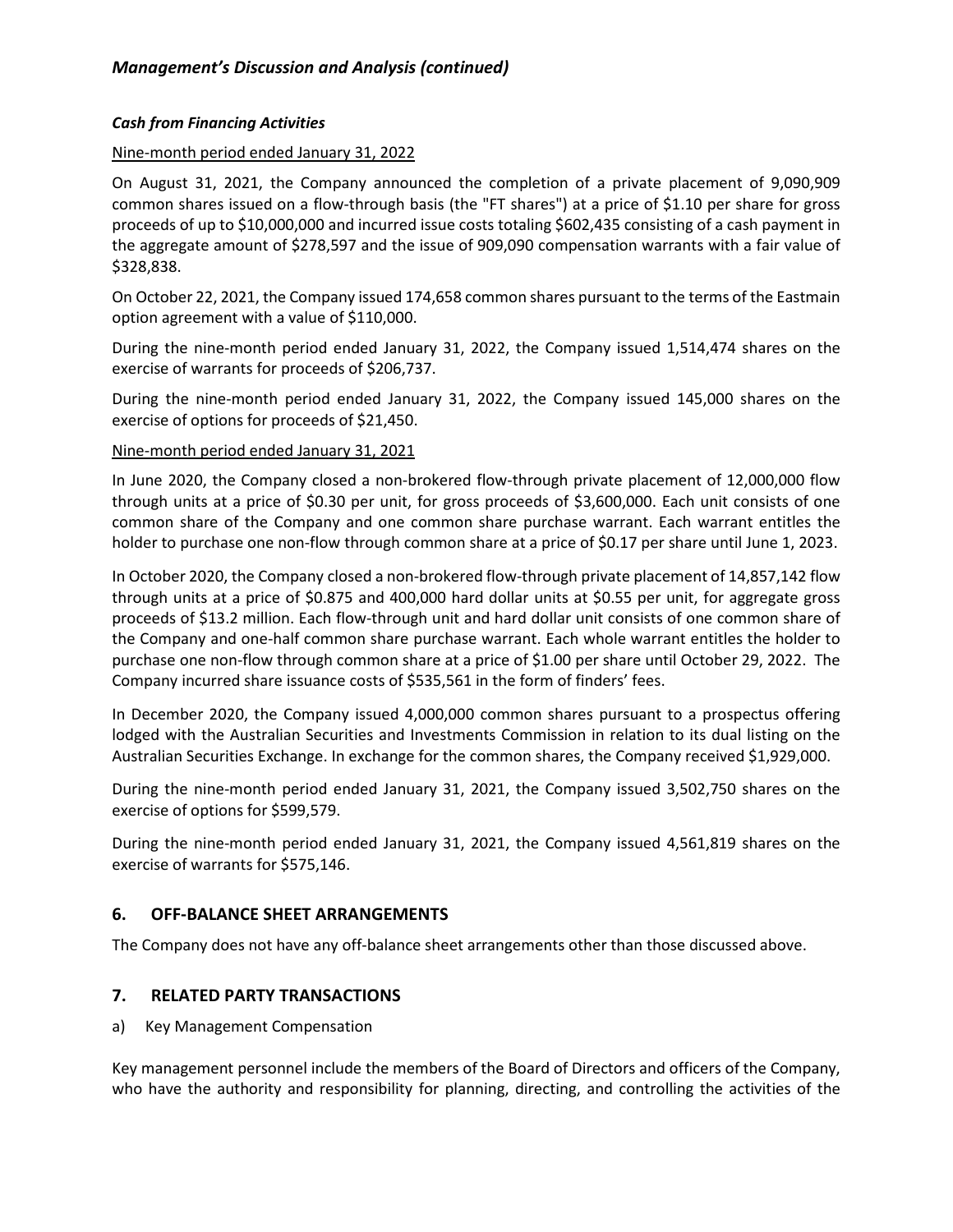# *Cash from Financing Activities*

# Nine-month period ended January 31, 2022

On August 31, 2021, the Company announced the completion of a private placement of 9,090,909 common shares issued on a flow-through basis (the "FT shares") at a price of \$1.10 per share for gross proceeds of up to \$10,000,000 and incurred issue costs totaling \$602,435 consisting of a cash payment in the aggregate amount of \$278,597 and the issue of 909,090 compensation warrants with a fair value of \$328,838.

On October 22, 2021, the Company issued 174,658 common shares pursuant to the terms of the Eastmain option agreement with a value of \$110,000.

During the nine-month period ended January 31, 2022, the Company issued 1,514,474 shares on the exercise of warrants for proceeds of \$206,737.

During the nine-month period ended January 31, 2022, the Company issued 145,000 shares on the exercise of options for proceeds of \$21,450.

# Nine-month period ended January 31, 2021

In June 2020, the Company closed a non-brokered flow-through private placement of 12,000,000 flow through units at a price of \$0.30 per unit, for gross proceeds of \$3,600,000. Each unit consists of one common share of the Company and one common share purchase warrant. Each warrant entitles the holder to purchase one non-flow through common share at a price of \$0.17 per share until June 1, 2023.

In October 2020, the Company closed a non-brokered flow-through private placement of 14,857,142 flow through units at a price of \$0.875 and 400,000 hard dollar units at \$0.55 per unit, for aggregate gross proceeds of \$13.2 million. Each flow-through unit and hard dollar unit consists of one common share of the Company and one-half common share purchase warrant. Each whole warrant entitles the holder to purchase one non-flow through common share at a price of \$1.00 per share until October 29, 2022. The Company incurred share issuance costs of \$535,561 in the form of finders' fees.

In December 2020, the Company issued 4,000,000 common shares pursuant to a prospectus offering lodged with the Australian Securities and Investments Commission in relation to its dual listing on the Australian Securities Exchange. In exchange for the common shares, the Company received \$1,929,000.

During the nine-month period ended January 31, 2021, the Company issued 3,502,750 shares on the exercise of options for \$599,579.

During the nine-month period ended January 31, 2021, the Company issued 4,561,819 shares on the exercise of warrants for \$575,146.

# **6. OFF-BALANCE SHEET ARRANGEMENTS**

The Company does not have any off-balance sheet arrangements other than those discussed above.

# **7. RELATED PARTY TRANSACTIONS**

a) Key Management Compensation

Key management personnel include the members of the Board of Directors and officers of the Company, who have the authority and responsibility for planning, directing, and controlling the activities of the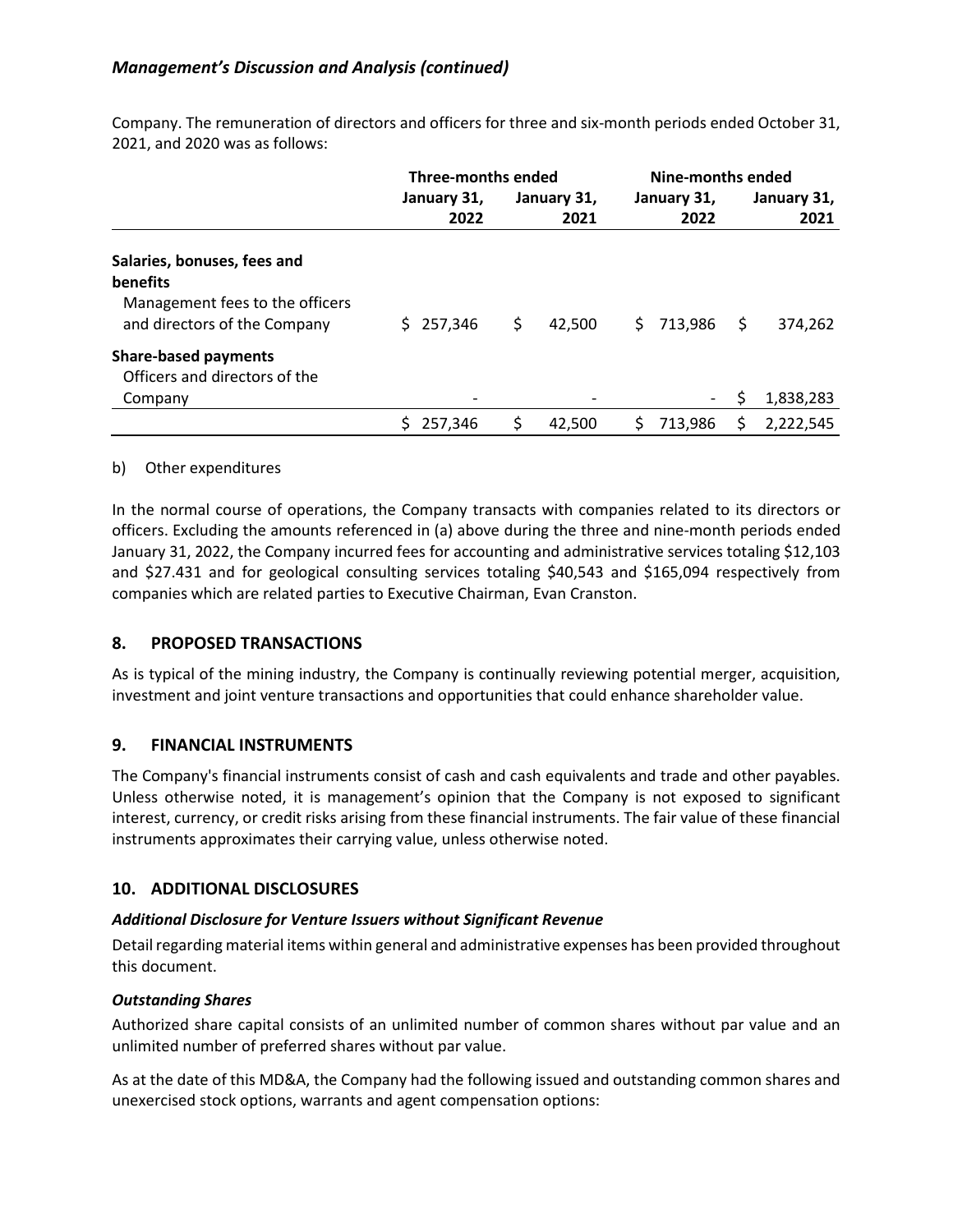|                                 | <b>Three-months ended</b> |                     | Nine-months ended   |                     |  |
|---------------------------------|---------------------------|---------------------|---------------------|---------------------|--|
|                                 | January 31,<br>2022       | January 31,<br>2021 | January 31,<br>2022 | January 31,<br>2021 |  |
| Salaries, bonuses, fees and     |                           |                     |                     |                     |  |
| benefits                        |                           |                     |                     |                     |  |
| Management fees to the officers |                           |                     |                     |                     |  |
| and directors of the Company    | \$257,346                 | \$<br>42.500        | 713,986<br>S.       | 374.262<br>S.       |  |
| <b>Share-based payments</b>     |                           |                     |                     |                     |  |
| Officers and directors of the   |                           |                     |                     |                     |  |
| Company                         | $\overline{\phantom{a}}$  |                     | $\sim$ 10 $\pm$     | 1,838,283<br>S.     |  |
|                                 | 257.346<br>S.             | \$<br>42.500        | S.<br>713.986       | 2,222,545<br>S.     |  |

Company. The remuneration of directors and officers for three and six-month periods ended October 31, 2021, and 2020 was as follows:

#### b) Other expenditures

In the normal course of operations, the Company transacts with companies related to its directors or officers. Excluding the amounts referenced in (a) above during the three and nine-month periods ended January 31, 2022, the Company incurred fees for accounting and administrative services totaling \$12,103 and \$27.431 and for geological consulting services totaling \$40,543 and \$165,094 respectively from companies which are related parties to Executive Chairman, Evan Cranston.

# **8. PROPOSED TRANSACTIONS**

As is typical of the mining industry, the Company is continually reviewing potential merger, acquisition, investment and joint venture transactions and opportunities that could enhance shareholder value.

# **9. FINANCIAL INSTRUMENTS**

The Company's financial instruments consist of cash and cash equivalents and trade and other payables. Unless otherwise noted, it is management's opinion that the Company is not exposed to significant interest, currency, or credit risks arising from these financial instruments. The fair value of these financial instruments approximates their carrying value, unless otherwise noted.

# **10. ADDITIONAL DISCLOSURES**

# *Additional Disclosure for Venture Issuers without Significant Revenue*

Detail regarding material items within general and administrative expenses has been provided throughout this document.

# *Outstanding Shares*

Authorized share capital consists of an unlimited number of common shares without par value and an unlimited number of preferred shares without par value.

As at the date of this MD&A, the Company had the following issued and outstanding common shares and unexercised stock options, warrants and agent compensation options: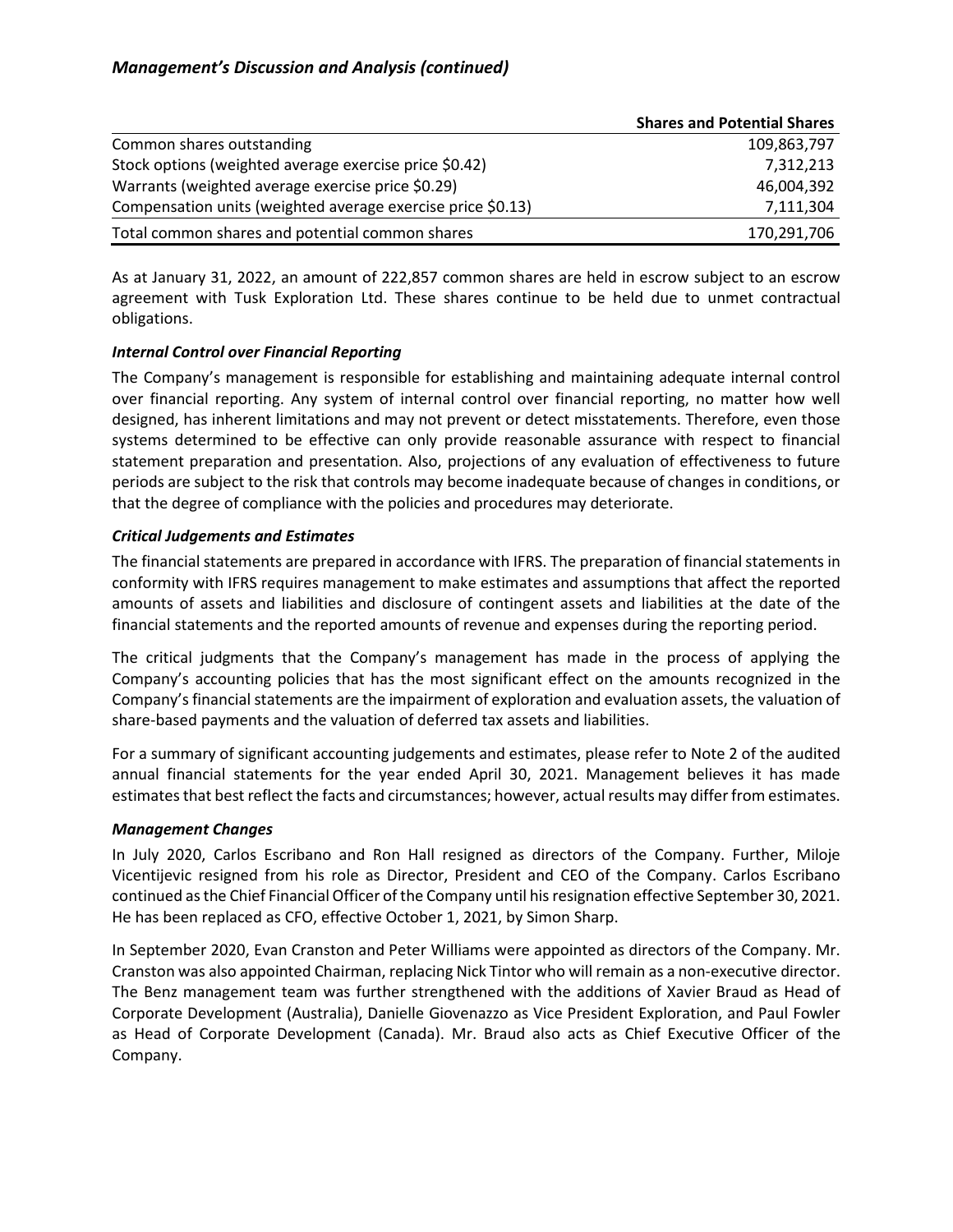|                                                             | <b>Shares and Potential Shares</b> |
|-------------------------------------------------------------|------------------------------------|
| Common shares outstanding                                   | 109,863,797                        |
| Stock options (weighted average exercise price \$0.42)      | 7,312,213                          |
| Warrants (weighted average exercise price \$0.29)           | 46,004,392                         |
| Compensation units (weighted average exercise price \$0.13) | 7,111,304                          |
| Total common shares and potential common shares             | 170,291,706                        |

As at January 31, 2022, an amount of 222,857 common shares are held in escrow subject to an escrow agreement with Tusk Exploration Ltd. These shares continue to be held due to unmet contractual obligations.

# *Internal Control over Financial Reporting*

The Company's management is responsible for establishing and maintaining adequate internal control over financial reporting. Any system of internal control over financial reporting, no matter how well designed, has inherent limitations and may not prevent or detect misstatements. Therefore, even those systems determined to be effective can only provide reasonable assurance with respect to financial statement preparation and presentation. Also, projections of any evaluation of effectiveness to future periods are subject to the risk that controls may become inadequate because of changes in conditions, or that the degree of compliance with the policies and procedures may deteriorate.

# *Critical Judgements and Estimates*

The financial statements are prepared in accordance with IFRS. The preparation of financial statements in conformity with IFRS requires management to make estimates and assumptions that affect the reported amounts of assets and liabilities and disclosure of contingent assets and liabilities at the date of the financial statements and the reported amounts of revenue and expenses during the reporting period.

The critical judgments that the Company's management has made in the process of applying the Company's accounting policies that has the most significant effect on the amounts recognized in the Company's financial statements are the impairment of exploration and evaluation assets, the valuation of share-based payments and the valuation of deferred tax assets and liabilities.

For a summary of significant accounting judgements and estimates, please refer to Note 2 of the audited annual financial statements for the year ended April 30, 2021. Management believes it has made estimates that best reflect the facts and circumstances; however, actual results may differ from estimates.

# *Management Changes*

In July 2020, Carlos Escribano and Ron Hall resigned as directors of the Company. Further, Miloje Vicentijevic resigned from his role as Director, President and CEO of the Company. Carlos Escribano continued as the Chief Financial Officer of the Company until his resignation effective September 30, 2021. He has been replaced as CFO, effective October 1, 2021, by Simon Sharp.

In September 2020, Evan Cranston and Peter Williams were appointed as directors of the Company. Mr. Cranston was also appointed Chairman, replacing Nick Tintor who will remain as a non-executive director. The Benz management team was further strengthened with the additions of Xavier Braud as Head of Corporate Development (Australia), Danielle Giovenazzo as Vice President Exploration, and Paul Fowler as Head of Corporate Development (Canada). Mr. Braud also acts as Chief Executive Officer of the Company.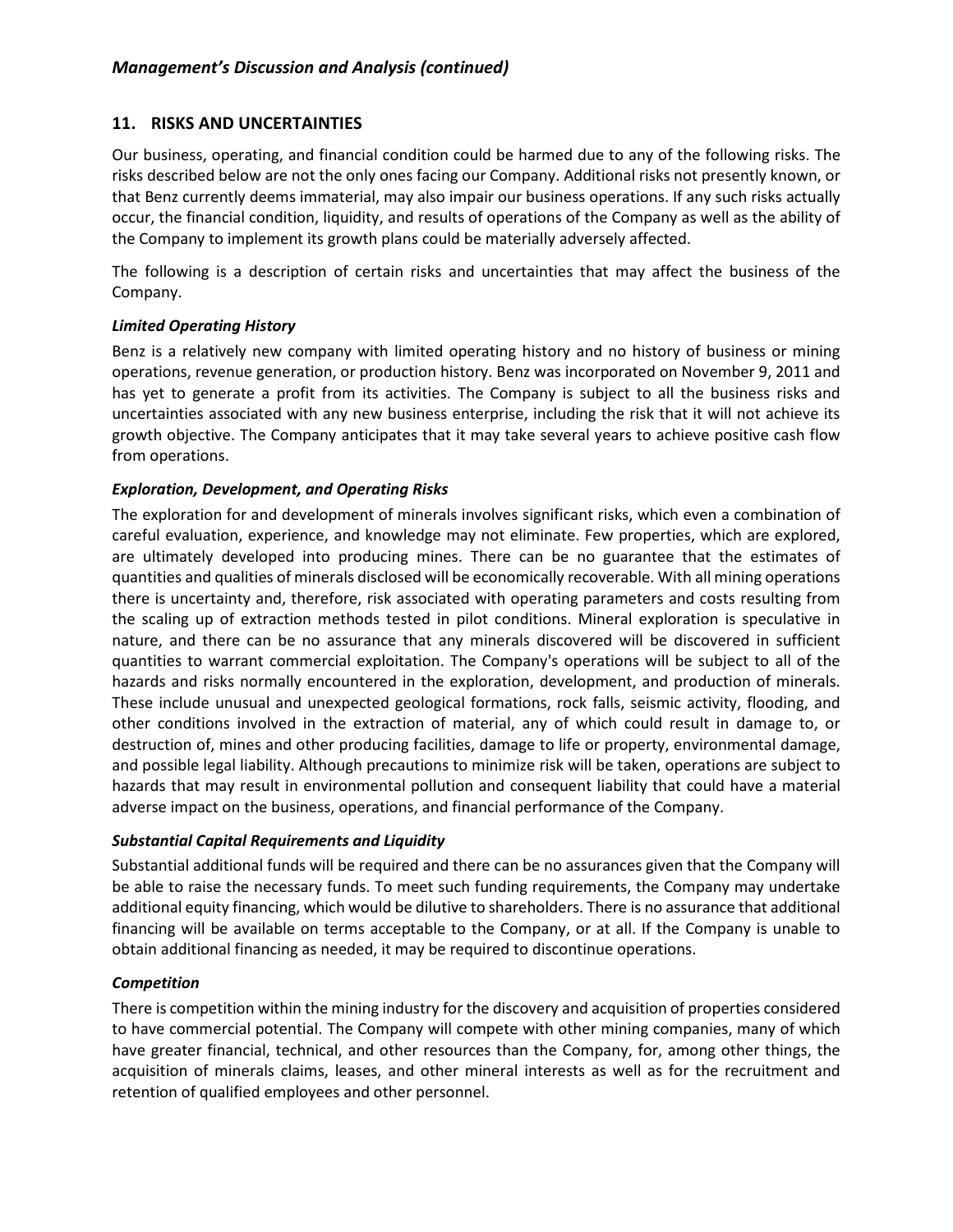# **11. RISKS AND UNCERTAINTIES**

Our business, operating, and financial condition could be harmed due to any of the following risks. The risks described below are not the only ones facing our Company. Additional risks not presently known, or that Benz currently deems immaterial, may also impair our business operations. If any such risks actually occur, the financial condition, liquidity, and results of operations of the Company as well as the ability of the Company to implement its growth plans could be materially adversely affected.

The following is a description of certain risks and uncertainties that may affect the business of the Company.

# *Limited Operating History*

Benz is a relatively new company with limited operating history and no history of business or mining operations, revenue generation, or production history. Benz was incorporated on November 9, 2011 and has yet to generate a profit from its activities. The Company is subject to all the business risks and uncertainties associated with any new business enterprise, including the risk that it will not achieve its growth objective. The Company anticipates that it may take several years to achieve positive cash flow from operations.

# *Exploration, Development, and Operating Risks*

The exploration for and development of minerals involves significant risks, which even a combination of careful evaluation, experience, and knowledge may not eliminate. Few properties, which are explored, are ultimately developed into producing mines. There can be no guarantee that the estimates of quantities and qualities of minerals disclosed will be economically recoverable. With all mining operations there is uncertainty and, therefore, risk associated with operating parameters and costs resulting from the scaling up of extraction methods tested in pilot conditions. Mineral exploration is speculative in nature, and there can be no assurance that any minerals discovered will be discovered in sufficient quantities to warrant commercial exploitation. The Company's operations will be subject to all of the hazards and risks normally encountered in the exploration, development, and production of minerals. These include unusual and unexpected geological formations, rock falls, seismic activity, flooding, and other conditions involved in the extraction of material, any of which could result in damage to, or destruction of, mines and other producing facilities, damage to life or property, environmental damage, and possible legal liability. Although precautions to minimize risk will be taken, operations are subject to hazards that may result in environmental pollution and consequent liability that could have a material adverse impact on the business, operations, and financial performance of the Company.

# *Substantial Capital Requirements and Liquidity*

Substantial additional funds will be required and there can be no assurances given that the Company will be able to raise the necessary funds. To meet such funding requirements, the Company may undertake additional equity financing, which would be dilutive to shareholders. There is no assurance that additional financing will be available on terms acceptable to the Company, or at all. If the Company is unable to obtain additional financing as needed, it may be required to discontinue operations.

# *Competition*

There is competition within the mining industry for the discovery and acquisition of properties considered to have commercial potential. The Company will compete with other mining companies, many of which have greater financial, technical, and other resources than the Company, for, among other things, the acquisition of minerals claims, leases, and other mineral interests as well as for the recruitment and retention of qualified employees and other personnel.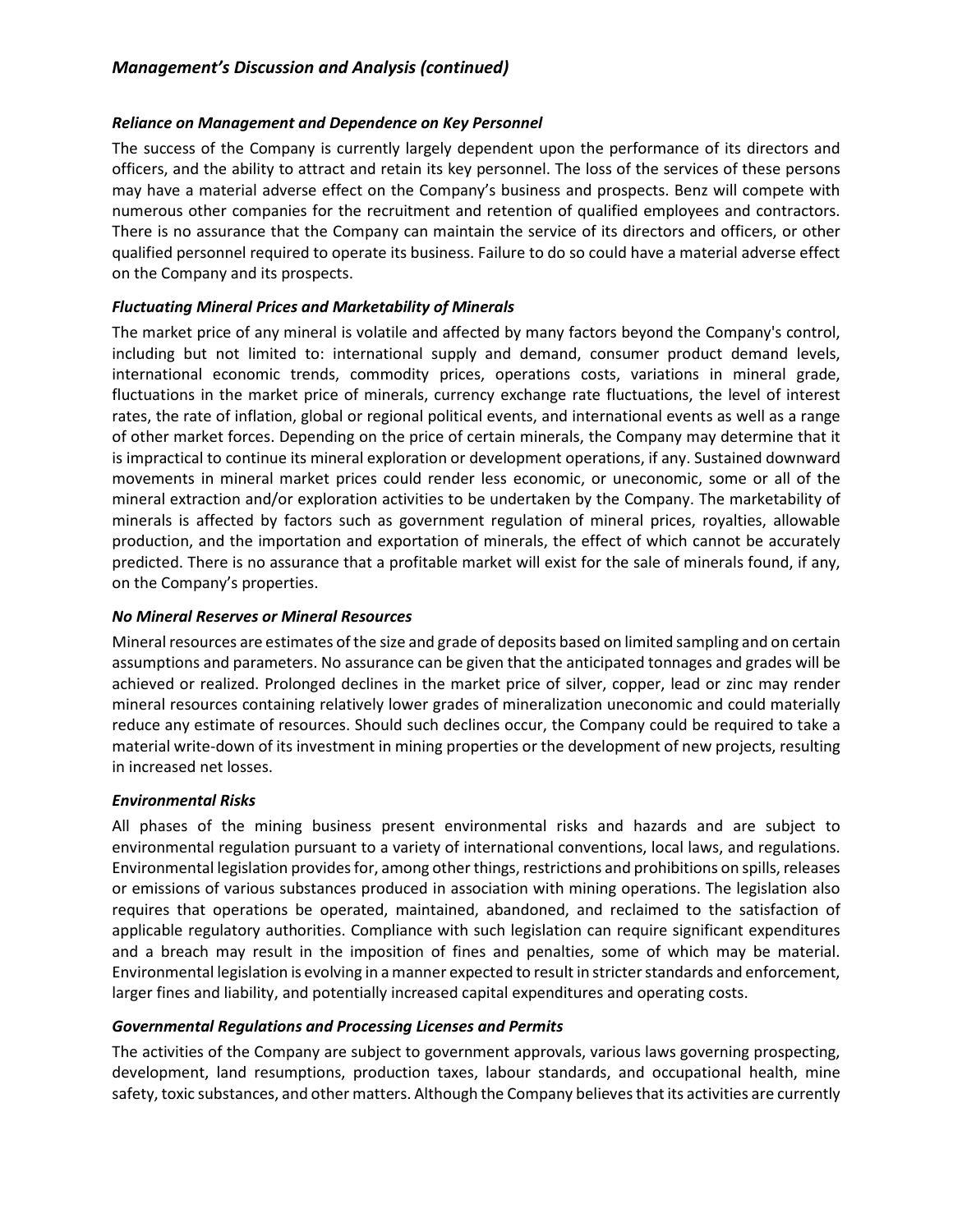# *Reliance on Management and Dependence on Key Personnel*

The success of the Company is currently largely dependent upon the performance of its directors and officers, and the ability to attract and retain its key personnel. The loss of the services of these persons may have a material adverse effect on the Company's business and prospects. Benz will compete with numerous other companies for the recruitment and retention of qualified employees and contractors. There is no assurance that the Company can maintain the service of its directors and officers, or other qualified personnel required to operate its business. Failure to do so could have a material adverse effect on the Company and its prospects.

# *Fluctuating Mineral Prices and Marketability of Minerals*

The market price of any mineral is volatile and affected by many factors beyond the Company's control, including but not limited to: international supply and demand, consumer product demand levels, international economic trends, commodity prices, operations costs, variations in mineral grade, fluctuations in the market price of minerals, currency exchange rate fluctuations, the level of interest rates, the rate of inflation, global or regional political events, and international events as well as a range of other market forces. Depending on the price of certain minerals, the Company may determine that it is impractical to continue its mineral exploration or development operations, if any. Sustained downward movements in mineral market prices could render less economic, or uneconomic, some or all of the mineral extraction and/or exploration activities to be undertaken by the Company. The marketability of minerals is affected by factors such as government regulation of mineral prices, royalties, allowable production, and the importation and exportation of minerals, the effect of which cannot be accurately predicted. There is no assurance that a profitable market will exist for the sale of minerals found, if any, on the Company's properties.

# *No Mineral Reserves or Mineral Resources*

Mineral resources are estimates of the size and grade of deposits based on limited sampling and on certain assumptions and parameters. No assurance can be given that the anticipated tonnages and grades will be achieved or realized. Prolonged declines in the market price of silver, copper, lead or zinc may render mineral resources containing relatively lower grades of mineralization uneconomic and could materially reduce any estimate of resources. Should such declines occur, the Company could be required to take a material write-down of its investment in mining properties or the development of new projects, resulting in increased net losses.

# *Environmental Risks*

All phases of the mining business present environmental risks and hazards and are subject to environmental regulation pursuant to a variety of international conventions, local laws, and regulations. Environmental legislation provides for, among other things, restrictions and prohibitions on spills, releases or emissions of various substances produced in association with mining operations. The legislation also requires that operations be operated, maintained, abandoned, and reclaimed to the satisfaction of applicable regulatory authorities. Compliance with such legislation can require significant expenditures and a breach may result in the imposition of fines and penalties, some of which may be material. Environmental legislation is evolving in a manner expected to result in stricter standards and enforcement, larger fines and liability, and potentially increased capital expenditures and operating costs.

# *Governmental Regulations and Processing Licenses and Permits*

The activities of the Company are subject to government approvals, various laws governing prospecting, development, land resumptions, production taxes, labour standards, and occupational health, mine safety, toxic substances, and other matters. Although the Company believes that its activities are currently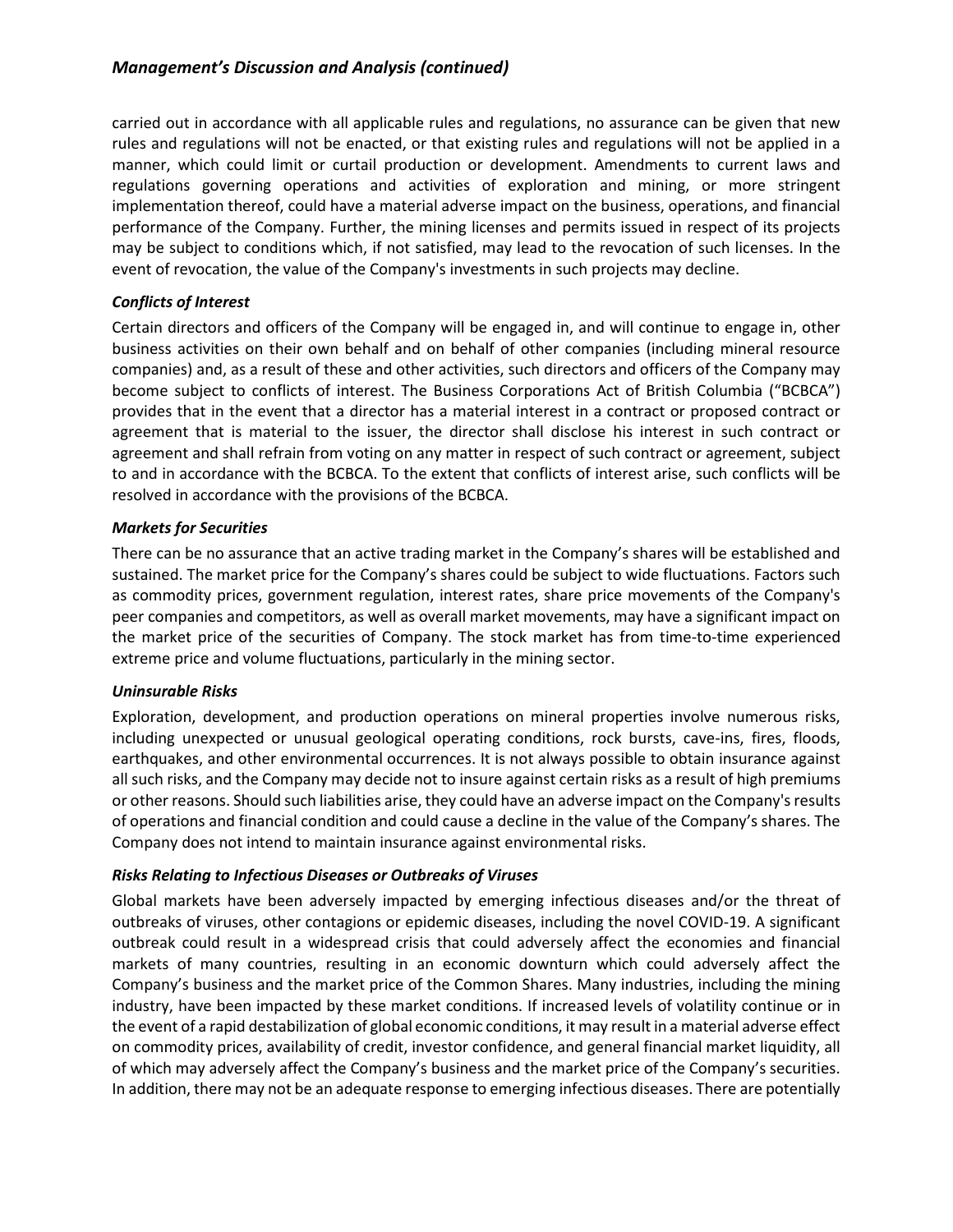carried out in accordance with all applicable rules and regulations, no assurance can be given that new rules and regulations will not be enacted, or that existing rules and regulations will not be applied in a manner, which could limit or curtail production or development. Amendments to current laws and regulations governing operations and activities of exploration and mining, or more stringent implementation thereof, could have a material adverse impact on the business, operations, and financial performance of the Company. Further, the mining licenses and permits issued in respect of its projects may be subject to conditions which, if not satisfied, may lead to the revocation of such licenses. In the event of revocation, the value of the Company's investments in such projects may decline.

### *Conflicts of Interest*

Certain directors and officers of the Company will be engaged in, and will continue to engage in, other business activities on their own behalf and on behalf of other companies (including mineral resource companies) and, as a result of these and other activities, such directors and officers of the Company may become subject to conflicts of interest. The Business Corporations Act of British Columbia ("BCBCA") provides that in the event that a director has a material interest in a contract or proposed contract or agreement that is material to the issuer, the director shall disclose his interest in such contract or agreement and shall refrain from voting on any matter in respect of such contract or agreement, subject to and in accordance with the BCBCA. To the extent that conflicts of interest arise, such conflicts will be resolved in accordance with the provisions of the BCBCA.

# *Markets for Securities*

There can be no assurance that an active trading market in the Company's shares will be established and sustained. The market price for the Company's shares could be subject to wide fluctuations. Factors such as commodity prices, government regulation, interest rates, share price movements of the Company's peer companies and competitors, as well as overall market movements, may have a significant impact on the market price of the securities of Company. The stock market has from time-to-time experienced extreme price and volume fluctuations, particularly in the mining sector.

# *Uninsurable Risks*

Exploration, development, and production operations on mineral properties involve numerous risks, including unexpected or unusual geological operating conditions, rock bursts, cave-ins, fires, floods, earthquakes, and other environmental occurrences. It is not always possible to obtain insurance against all such risks, and the Company may decide not to insure against certain risks as a result of high premiums or other reasons. Should such liabilities arise, they could have an adverse impact on the Company's results of operations and financial condition and could cause a decline in the value of the Company's shares. The Company does not intend to maintain insurance against environmental risks.

# *Risks Relating to Infectious Diseases or Outbreaks of Viruses*

Global markets have been adversely impacted by emerging infectious diseases and/or the threat of outbreaks of viruses, other contagions or epidemic diseases, including the novel COVID-19. A significant outbreak could result in a widespread crisis that could adversely affect the economies and financial markets of many countries, resulting in an economic downturn which could adversely affect the Company's business and the market price of the Common Shares. Many industries, including the mining industry, have been impacted by these market conditions. If increased levels of volatility continue or in the event of a rapid destabilization of global economic conditions, it may result in a material adverse effect on commodity prices, availability of credit, investor confidence, and general financial market liquidity, all of which may adversely affect the Company's business and the market price of the Company's securities. In addition, there may not be an adequate response to emerging infectious diseases. There are potentially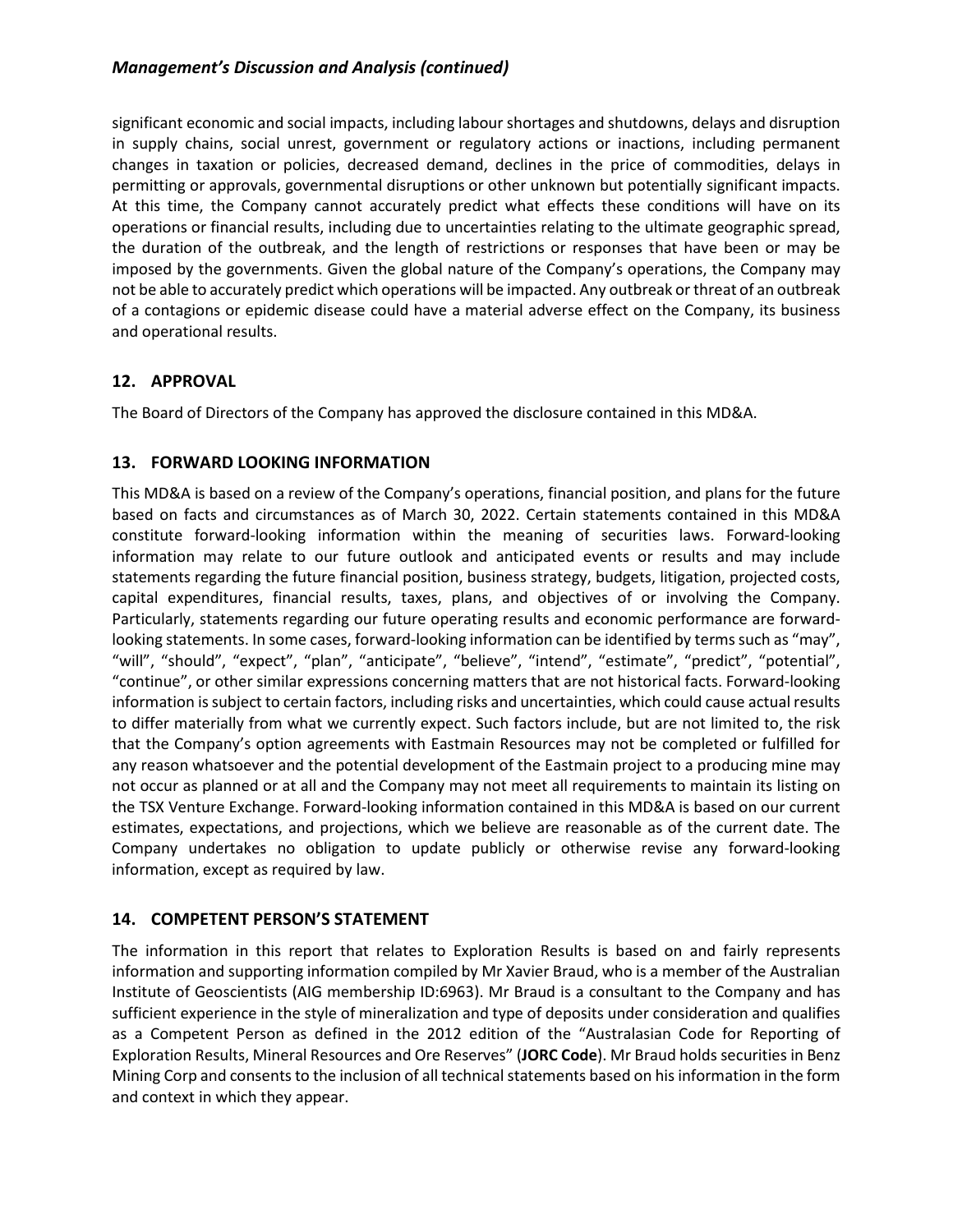significant economic and social impacts, including labour shortages and shutdowns, delays and disruption in supply chains, social unrest, government or regulatory actions or inactions, including permanent changes in taxation or policies, decreased demand, declines in the price of commodities, delays in permitting or approvals, governmental disruptions or other unknown but potentially significant impacts. At this time, the Company cannot accurately predict what effects these conditions will have on its operations or financial results, including due to uncertainties relating to the ultimate geographic spread, the duration of the outbreak, and the length of restrictions or responses that have been or may be imposed by the governments. Given the global nature of the Company's operations, the Company may not be able to accurately predict which operations will be impacted. Any outbreak or threat of an outbreak of a contagions or epidemic disease could have a material adverse effect on the Company, its business and operational results.

# **12. APPROVAL**

The Board of Directors of the Company has approved the disclosure contained in this MD&A.

# **13. FORWARD LOOKING INFORMATION**

This MD&A is based on a review of the Company's operations, financial position, and plans for the future based on facts and circumstances as of March 30, 2022. Certain statements contained in this MD&A constitute forward-looking information within the meaning of securities laws. Forward-looking information may relate to our future outlook and anticipated events or results and may include statements regarding the future financial position, business strategy, budgets, litigation, projected costs, capital expenditures, financial results, taxes, plans, and objectives of or involving the Company. Particularly, statements regarding our future operating results and economic performance are forwardlooking statements. In some cases, forward-looking information can be identified by terms such as "may", "will", "should", "expect", "plan", "anticipate", "believe", "intend", "estimate", "predict", "potential", "continue", or other similar expressions concerning matters that are not historical facts. Forward-looking information is subject to certain factors, including risks and uncertainties, which could cause actual results to differ materially from what we currently expect. Such factors include, but are not limited to, the risk that the Company's option agreements with Eastmain Resources may not be completed or fulfilled for any reason whatsoever and the potential development of the Eastmain project to a producing mine may not occur as planned or at all and the Company may not meet all requirements to maintain its listing on the TSX Venture Exchange. Forward-looking information contained in this MD&A is based on our current estimates, expectations, and projections, which we believe are reasonable as of the current date. The Company undertakes no obligation to update publicly or otherwise revise any forward-looking information, except as required by law.

# **14. COMPETENT PERSON'S STATEMENT**

The information in this report that relates to Exploration Results is based on and fairly represents information and supporting information compiled by Mr Xavier Braud, who is a member of the Australian Institute of Geoscientists (AIG membership ID:6963). Mr Braud is a consultant to the Company and has sufficient experience in the style of mineralization and type of deposits under consideration and qualifies as a Competent Person as defined in the 2012 edition of the "Australasian Code for Reporting of Exploration Results, Mineral Resources and Ore Reserves" (**JORC Code**). Mr Braud holds securities in Benz Mining Corp and consents to the inclusion of all technical statements based on his information in the form and context in which they appear.